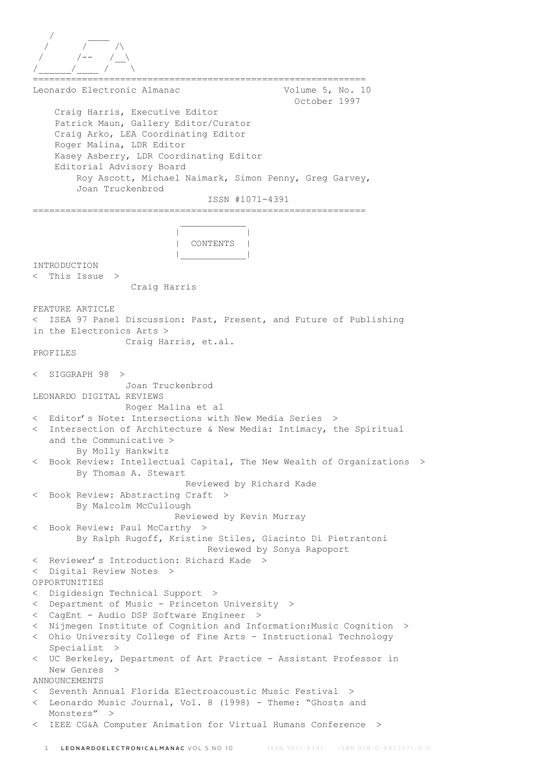```
 / ____
 / / /\
 / /-- /__\
/______/____ / \
        =============================================================
Leonardo Electronic Almanac Volume 5, No. 10
                                                October 1997
     Craig Harris, Executive Editor
     Patrick Maun, Gallery Editor/Curator
     Craig Arko, LEA Coordinating Editor
     Roger Malina, LDR Editor
     Kasey Asberry, LDR Coordinating Editor
     Editorial Advisory Board
         Roy Ascott, Michael Naimark, Simon Penny, Greg Garvey,
         Joan Truckenbrod
                                ISSN #1071-4391
=============================================================
\mathcal{L}_\text{max} and \mathcal{L}_\text{max} and \mathcal{L}_\text{max} and \mathcal{L}_\text{max} | |
                           | CONTENTS |
 |____________|
INTRODUCTION
< This Issue >
                  Craig Harris
FEATURE ARTICLE
< ISEA 97 Panel Discussion: Past, Present, and Future of Publishing
in the Electronics Arts >
                 Craig Harris, et.al.
PROFILES
< SIGGRAPH 98 >
                 Joan Truckenbrod
LEONARDO DIGITAL REVIEWS
                 Roger Malina et al
< Editor's Note: Intersections with New Media Series >
< Intersection of Architecture & New Media: Intimacy, the Spiritual
   and the Communicative >
        By Molly Hankwitz
< Book Review: Intellectual Capital, The New Wealth of Organizations >
        By Thomas A. Stewart
                            Reviewed by Richard Kade
 Book Review: Abstracting Craft >
         By Malcolm McCullough
                          Reviewed by Kevin Murray
 Book Review: Paul McCarthy >
        By Ralph Rugoff, Kristine Stiles, Giacinto Di Pietrantoni
                                Reviewed by Sonya Rapoport
< Reviewer's Introduction: Richard Kade >
< Digital Review Notes >
OPPORTUNITIES
< Digidesign Technical Support >
< Department of Music - Princeton University >
< CagEnt - Audio DSP Software Engineer >
< Nijmegen Institute of Cognition and Information:Music Cognition >
< Ohio University College of Fine Arts - Instructional Technology
    Specialist >
< UC Berkeley, Department of Art Practice - Assistant Professor in
   New Genres >
ANNOUNCEMENTS
< Seventh Annual Florida Electroacoustic Music Festival >
< Leonardo Music Journal, Vol. 8 (1998) - Theme: "Ghosts and
  Monsters" >
< IEEE CG&A Computer Animation for Virtual Humans Conference >
```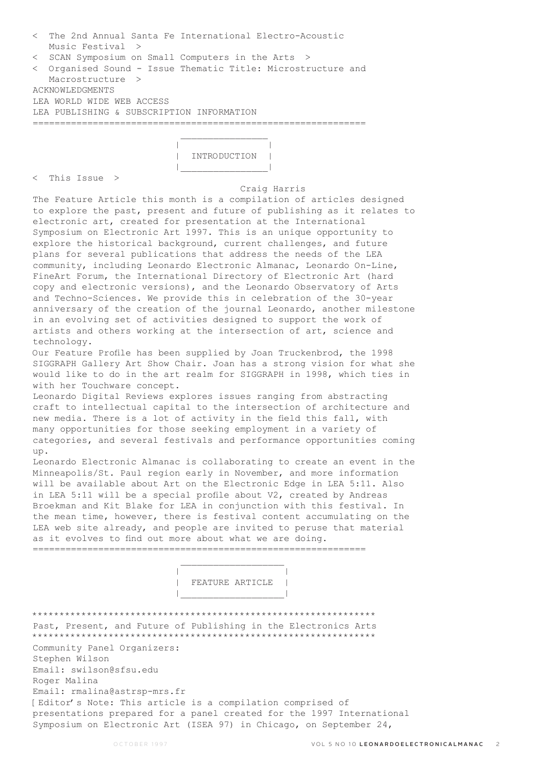|                 | < The 2nd Annual Santa Fe International Electro-Acoustic<br>Music Festival > |
|-----------------|------------------------------------------------------------------------------|
|                 | < SCAN Symposium on Small Computers in the Arts >                            |
|                 | < Organised Sound - Issue Thematic Title: Microstructure and                 |
|                 | Macrostructure >                                                             |
| ACKNOWLEDGMENTS |                                                                              |
|                 | LEA WORLD WIDE WEB ACCESS                                                    |
|                 | LEA PUBLISHING & SUBSCRIPTION INFORMATION                                    |
|                 |                                                                              |
|                 |                                                                              |

 | | | INTRODUCTION | |\_\_\_\_\_\_\_\_\_\_\_\_\_\_\_\_|

< This Issue >

## Craig Harris

The Feature Article this month is a compilation of articles designed to explore the past, present and future of publishing as it relates to electronic art, created for presentation at the International Symposium on Electronic Art 1997. This is an unique opportunity to explore the historical background, current challenges, and future plans for several publications that address the needs of the LEA community, including Leonardo Electronic Almanac, Leonardo On-Line, FineArt Forum, the International Directory of Electronic Art (hard copy and electronic versions), and the Leonardo Observatory of Arts and Techno-Sciences. We provide this in celebration of the 30-year anniversary of the creation of the journal Leonardo, another milestone in an evolving set of activities designed to support the work of artists and others working at the intersection of art, science and technology.

Our Feature Profile has been supplied by Joan Truckenbrod, the 1998 SIGGRAPH Gallery Art Show Chair. Joan has a strong vision for what she would like to do in the art realm for SIGGRAPH in 1998, which ties in with her Touchware concept.

Leonardo Digital Reviews explores issues ranging from abstracting craft to intellectual capital to the intersection of architecture and new media. There is a lot of activity in the field this fall, with many opportunities for those seeking employment in a variety of categories, and several festivals and performance opportunities coming up.

Leonardo Electronic Almanac is collaborating to create an event in the Minneapolis/St. Paul region early in November, and more information will be available about Art on the Electronic Edge in LEA 5:11. Also in LEA 5:11 will be a special profile about V2, created by Andreas Broekman and Kit Blake for LEA in conjunction with this festival. In the mean time, however, there is festival content accumulating on the LEA web site already, and people are invited to peruse that material as it evolves to find out more about what we are doing. =============================================================

 | | | FEATURE ARTICLE |

\*\*\*\*\*\*\*\*\*\*\*\*\*\*\*\*\*\*\*\*\*\*\*\*\*\*\*\*\*\*\*\*\*\*\*\*\*\*\*\*\*\*\*\*\*\*\*\*\*\*\*\*\*\*\*\*\*\*\*\*\*\*\* Past, Present, and Future of Publishing in the Electronics Arts \*\*\*\*\*\*\*\*\*\*\*\*\*\*\*\*\*\*\*\*\*\*\*\*\*\*\*\*\*\*\*\*\*\*\*\*\*\*\*\*\*\*\*\*\*\*\*\*\*\*\*\*\*\*\*\*\*\*\*\*\*\*\* Community Panel Organizers: Stephen Wilson Email: swilson@sfsu.edu Roger Malina Email: rmalina@astrsp-mrs.fr [Editor's Note: This article is a compilation comprised of presentations prepared for a panel created for the 1997 International Symposium on Electronic Art (ISEA 97) in Chicago, on September 24,

|\_\_\_\_\_\_\_\_\_\_\_\_\_\_\_\_\_\_\_|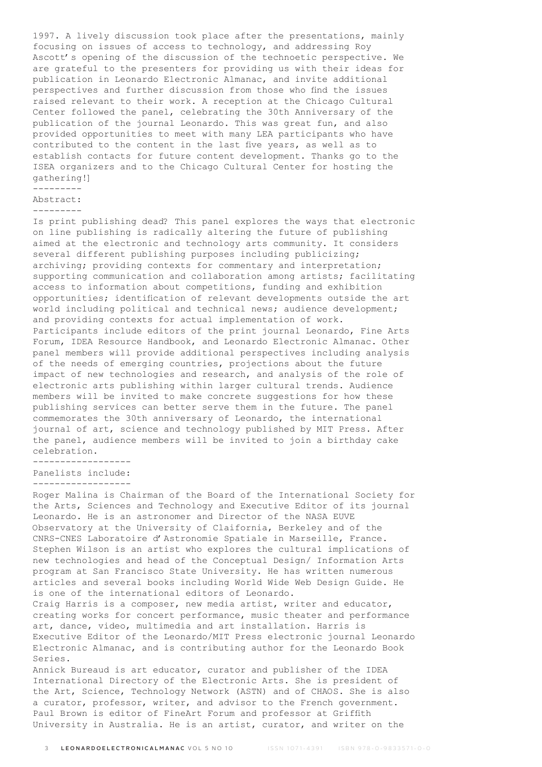1997. A lively discussion took place after the presentations, mainly focusing on issues of access to technology, and addressing Roy Ascott's opening of the discussion of the technoetic perspective. We are grateful to the presenters for providing us with their ideas for publication in Leonardo Electronic Almanac, and invite additional perspectives and further discussion from those who find the issues raised relevant to their work. A reception at the Chicago Cultural Center followed the panel, celebrating the 30th Anniversary of the publication of the journal Leonardo. This was great fun, and also provided opportunities to meet with many LEA participants who have contributed to the content in the last five years, as well as to establish contacts for future content development. Thanks go to the ISEA organizers and to the Chicago Cultural Center for hosting the gathering!]

## --------- Abstract:

---------

Is print publishing dead? This panel explores the ways that electronic on line publishing is radically altering the future of publishing aimed at the electronic and technology arts community. It considers several different publishing purposes including publicizing; archiving; providing contexts for commentary and interpretation; supporting communication and collaboration among artists; facilitating access to information about competitions, funding and exhibition opportunities; identification of relevant developments outside the art world including political and technical news; audience development; and providing contexts for actual implementation of work. Participants include editors of the print journal Leonardo, Fine Arts Forum, IDEA Resource Handbook, and Leonardo Electronic Almanac. Other panel members will provide additional perspectives including analysis of the needs of emerging countries, projections about the future impact of new technologies and research, and analysis of the role of electronic arts publishing within larger cultural trends. Audience members will be invited to make concrete suggestions for how these publishing services can better serve them in the future. The panel commemorates the 30th anniversary of Leonardo, the international journal of art, science and technology published by MIT Press. After the panel, audience members will be invited to join a birthday cake celebration.

------------------

Panelists include:

------------------

Roger Malina is Chairman of the Board of the International Society for the Arts, Sciences and Technology and Executive Editor of its journal Leonardo. He is an astronomer and Director of the NASA EUVE Observatory at the University of Claifornia, Berkeley and of the CNRS-CNES Laboratoire d'Astronomie Spatiale in Marseille, France. Stephen Wilson is an artist who explores the cultural implications of new technologies and head of the Conceptual Design/ Information Arts program at San Francisco State University. He has written numerous articles and several books including World Wide Web Design Guide. He is one of the international editors of Leonardo.

Craig Harris is a composer, new media artist, writer and educator, creating works for concert performance, music theater and performance art, dance, video, multimedia and art installation. Harris is Executive Editor of the Leonardo/MIT Press electronic journal Leonardo Electronic Almanac, and is contributing author for the Leonardo Book Series.

Annick Bureaud is art educator, curator and publisher of the IDEA International Directory of the Electronic Arts. She is president of the Art, Science, Technology Network (ASTN) and of CHAOS. She is also a curator, professor, writer, and advisor to the French government. Paul Brown is editor of FineArt Forum and professor at Griffith University in Australia. He is an artist, curator, and writer on the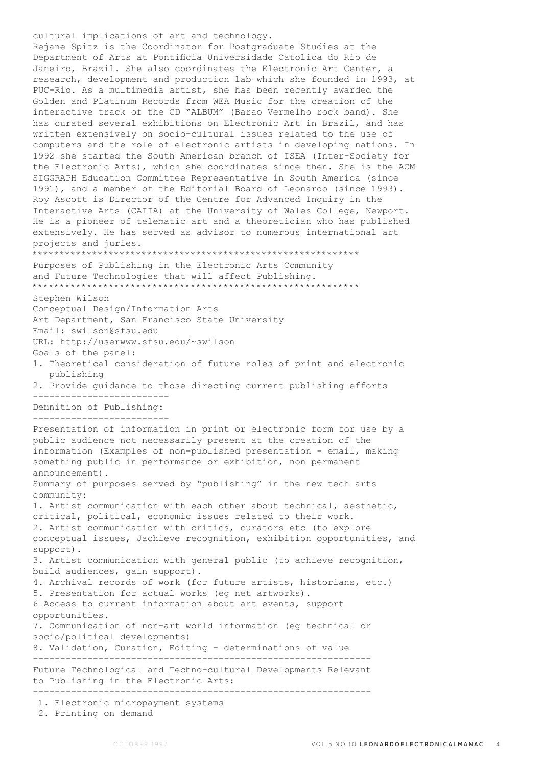cultural implications of art and technology. Rejane Spitz is the Coordinator for Postgraduate Studies at the Department of Arts at Pontificia Universidade Catolica do Rio de Janeiro, Brazil. She also coordinates the Electronic Art Center, a research, development and production lab which she founded in 1993, at PUC-Rio. As a multimedia artist, she has been recently awarded the Golden and Platinum Records from WEA Music for the creation of the interactive track of the CD "ALBUM" (Barao Vermelho rock band). She has curated several exhibitions on Electronic Art in Brazil, and has written extensively on socio-cultural issues related to the use of computers and the role of electronic artists in developing nations. In 1992 she started the South American branch of ISEA (Inter-Society for the Electronic Arts), which she coordinates since then. She is the ACM SIGGRAPH Education Committee Representative in South America (since 1991), and a member of the Editorial Board of Leonardo (since 1993). Roy Ascott is Director of the Centre for Advanced Inquiry in the Interactive Arts (CAIIA) at the University of Wales College, Newport. He is a pioneer of telematic art and a theoretician who has published extensively. He has served as advisor to numerous international art projects and juries. \*\*\*\*\*\*\*\*\*\*\*\*\*\*\*\*\*\*\*\*\*\*\*\*\*\*\*\*\*\*\*\*\*\*\*\*\*\*\*\*\*\*\*\*\*\*\*\*\*\*\*\*\*\*\*\*\*\*\*\* Purposes of Publishing in the Electronic Arts Community and Future Technologies that will affect Publishing. \*\*\*\*\*\*\*\*\*\*\*\*\*\*\*\*\*\*\*\*\*\*\*\*\*\*\*\*\*\*\*\*\*\*\*\*\*\*\*\*\*\*\*\*\*\*\*\*\*\*\*\*\*\*\*\*\*\*\*\* Stephen Wilson Conceptual Design/Information Arts Art Department, San Francisco State University Email: swilson@sfsu.edu URL: http://userwww.sfsu.edu/~swilson Goals of the panel: 1. Theoretical consideration of future roles of print and electronic publishing 2. Provide guidance to those directing current publishing efforts ------------------------- Definition of Publishing: ------------------------- Presentation of information in print or electronic form for use by a public audience not necessarily present at the creation of the information (Examples of non-published presentation - email, making something public in performance or exhibition, non permanent announcement). Summary of purposes served by "publishing" in the new tech arts community: 1. Artist communication with each other about technical, aesthetic, critical, political, economic issues related to their work. 2. Artist communication with critics, curators etc (to explore conceptual issues, Jachieve recognition, exhibition opportunities, and support). 3. Artist communication with general public (to achieve recognition, build audiences, gain support). 4. Archival records of work (for future artists, historians, etc.) 5. Presentation for actual works (eg net artworks). 6 Access to current information about art events, support opportunities. 7. Communication of non-art world information (eg technical or socio/political developments) 8. Validation, Curation, Editing - determinations of value -------------------------------------------------------------- Future Technological and Techno-cultural Developments Relevant to Publishing in the Electronic Arts: -------------------------------------------------------------- 1. Electronic micropayment systems 2. Printing on demand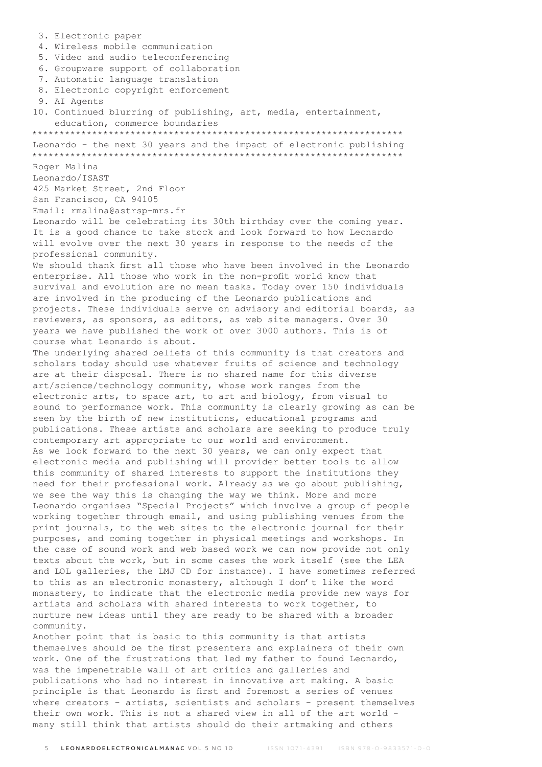3. Electronic paper 4. Wireless mobile communication 5. Video and audio teleconferencing 6. Groupware support of collaboration 7. Automatic language translation 8. Electronic copyright enforcement 9. AI Agents 10. Continued blurring of publishing, art, media, entertainment, education, commerce boundaries \*\*\*\*\*\*\*\*\*\*\*\*\*\*\*\*\*\*\*\*\*\*\*\*\*\*\*\*\*\*\*\*\*\*\*\*\*\*\*\*\*\*\*\*\*\*\*\*\*\*\*\*\*\*\*\*\*\*\*\*\*\*\*\*\*\*\*\* Leonardo - the next 30 years and the impact of electronic publishing \*\*\*\*\*\*\*\*\*\*\*\*\*\*\*\*\*\*\*\*\*\*\*\*\*\*\*\*\*\*\*\*\*\*\*\*\*\*\*\*\*\*\*\*\*\*\*\*\*\*\*\*\*\*\*\*\*\*\*\*\*\*\*\*\*\*\*\* Roger Malina Leonardo/ISAST 425 Market Street, 2nd Floor San Francisco, CA 94105 Email: rmalina@astrsp-mrs.fr Leonardo will be celebrating its 30th birthday over the coming year. It is a good chance to take stock and look forward to how Leonardo will evolve over the next 30 years in response to the needs of the professional community. We should thank first all those who have been involved in the Leonardo enterprise. All those who work in the non-profit world know that survival and evolution are no mean tasks. Today over 150 individuals are involved in the producing of the Leonardo publications and projects. These individuals serve on advisory and editorial boards, as reviewers, as sponsors, as editors, as web site managers. Over 30 years we have published the work of over 3000 authors. This is of course what Leonardo is about. The underlying shared beliefs of this community is that creators and scholars today should use whatever fruits of science and technology are at their disposal. There is no shared name for this diverse art/science/technology community, whose work ranges from the electronic arts, to space art, to art and biology, from visual to sound to performance work. This community is clearly growing as can be seen by the birth of new institutions, educational programs and publications. These artists and scholars are seeking to produce truly contemporary art appropriate to our world and environment. As we look forward to the next 30 years, we can only expect that electronic media and publishing will provider better tools to allow this community of shared interests to support the institutions they need for their professional work. Already as we go about publishing, we see the way this is changing the way we think. More and more Leonardo organises "Special Projects" which involve a group of people working together through email, and using publishing venues from the print journals, to the web sites to the electronic journal for their purposes, and coming together in physical meetings and workshops. In the case of sound work and web based work we can now provide not only texts about the work, but in some cases the work itself (see the LEA and LOL galleries, the LMJ CD for instance). I have sometimes referred to this as an electronic monastery, although I don't like the word monastery, to indicate that the electronic media provide new ways for artists and scholars with shared interests to work together, to nurture new ideas until they are ready to be shared with a broader community. Another point that is basic to this community is that artists themselves should be the first presenters and explainers of their own work. One of the frustrations that led my father to found Leonardo, was the impenetrable wall of art critics and galleries and publications who had no interest in innovative art making. A basic principle is that Leonardo is first and foremost a series of venues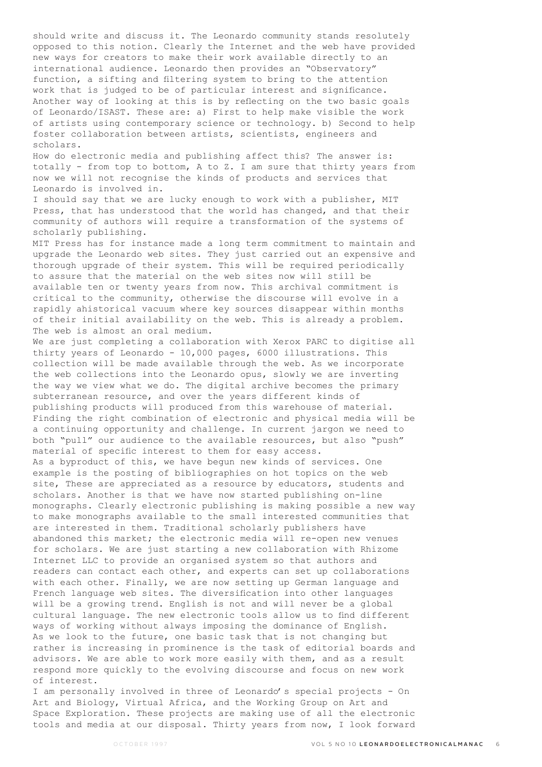should write and discuss it. The Leonardo community stands resolutely opposed to this notion. Clearly the Internet and the web have provided new ways for creators to make their work available directly to an international audience. Leonardo then provides an "Observatory" function, a sifting and filtering system to bring to the attention work that is judged to be of particular interest and significance. Another way of looking at this is by reflecting on the two basic goals of Leonardo/ISAST. These are: a) First to help make visible the work of artists using contemporary science or technology. b) Second to help foster collaboration between artists, scientists, engineers and scholars.

How do electronic media and publishing affect this? The answer is: totally - from top to bottom, A to Z. I am sure that thirty years from now we will not recognise the kinds of products and services that Leonardo is involved in.

I should say that we are lucky enough to work with a publisher, MIT Press, that has understood that the world has changed, and that their community of authors will require a transformation of the systems of scholarly publishing.

MIT Press has for instance made a long term commitment to maintain and upgrade the Leonardo web sites. They just carried out an expensive and thorough upgrade of their system. This will be required periodically to assure that the material on the web sites now will still be available ten or twenty years from now. This archival commitment is critical to the community, otherwise the discourse will evolve in a rapidly ahistorical vacuum where key sources disappear within months of their initial availability on the web. This is already a problem. The web is almost an oral medium.

We are just completing a collaboration with Xerox PARC to digitise all thirty years of Leonardo - 10,000 pages, 6000 illustrations. This collection will be made available through the web. As we incorporate the web collections into the Leonardo opus, slowly we are inverting the way we view what we do. The digital archive becomes the primary subterranean resource, and over the years different kinds of publishing products will produced from this warehouse of material. Finding the right combination of electronic and physical media will be a continuing opportunity and challenge. In current jargon we need to both "pull" our audience to the available resources, but also "push" material of specific interest to them for easy access.

As a byproduct of this, we have begun new kinds of services. One example is the posting of bibliographies on hot topics on the web site, These are appreciated as a resource by educators, students and scholars. Another is that we have now started publishing on-line monographs. Clearly electronic publishing is making possible a new way to make monographs available to the small interested communities that are interested in them. Traditional scholarly publishers have abandoned this market; the electronic media will re-open new venues for scholars. We are just starting a new collaboration with Rhizome Internet LLC to provide an organised system so that authors and readers can contact each other, and experts can set up collaborations with each other. Finally, we are now setting up German language and French language web sites. The diversification into other languages will be a growing trend. English is not and will never be a global cultural language. The new electronic tools allow us to find different ways of working without always imposing the dominance of English. As we look to the future, one basic task that is not changing but rather is increasing in prominence is the task of editorial boards and advisors. We are able to work more easily with them, and as a result respond more quickly to the evolving discourse and focus on new work of interest.

I am personally involved in three of Leonardo's special projects - On Art and Biology, Virtual Africa, and the Working Group on Art and Space Exploration. These projects are making use of all the electronic tools and media at our disposal. Thirty years from now, I look forward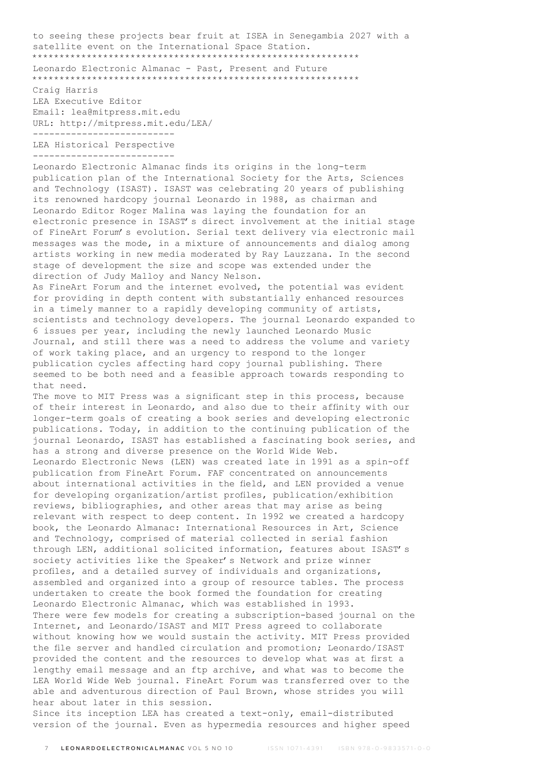to seeing these projects bear fruit at ISEA in Senegambia 2027 with a satellite event on the International Space Station. \*\*\*\*\*\*\*\*\*\*\*\*\*\*\*\*\*\*\*\*\*\*\*\*\*\*\*\*\*\*\*\*\*\*\*\*\*\*\*\*\*\*\*\*\*\*\*\*\*\*\*\*\*\*\*\*\*\*\*\* Leonardo Electronic Almanac - Past, Present and Future \*\*\*\*\*\*\*\*\*\*\*\*\*\*\*\*\*\*\*\*\*\*\*\*\*\*\*\*\*\*\*\*\*\*\*\*\*\*\*\*\*\*\*\*\*\*\*\*\*\*\*\*\*\*\*\*\*\*\*\*

Craig Harris LEA Executive Editor Email: lea@mitpress.mit.edu URL: http://mitpress.mit.edu/LEA/ -------------------------- LEA Historical Perspective --------------------------

Leonardo Electronic Almanac finds its origins in the long-term publication plan of the International Society for the Arts, Sciences and Technology (ISAST). ISAST was celebrating 20 years of publishing its renowned hardcopy journal Leonardo in 1988, as chairman and Leonardo Editor Roger Malina was laying the foundation for an electronic presence in ISAST's direct involvement at the initial stage of FineArt Forum's evolution. Serial text delivery via electronic mail messages was the mode, in a mixture of announcements and dialog among artists working in new media moderated by Ray Lauzzana. In the second stage of development the size and scope was extended under the direction of Judy Malloy and Nancy Nelson.

As FineArt Forum and the internet evolved, the potential was evident for providing in depth content with substantially enhanced resources in a timely manner to a rapidly developing community of artists, scientists and technology developers. The journal Leonardo expanded to 6 issues per year, including the newly launched Leonardo Music Journal, and still there was a need to address the volume and variety of work taking place, and an urgency to respond to the longer publication cycles affecting hard copy journal publishing. There seemed to be both need and a feasible approach towards responding to that need.

The move to MIT Press was a significant step in this process, because of their interest in Leonardo, and also due to their affinity with our longer-term goals of creating a book series and developing electronic publications. Today, in addition to the continuing publication of the journal Leonardo, ISAST has established a fascinating book series, and has a strong and diverse presence on the World Wide Web. Leonardo Electronic News (LEN) was created late in 1991 as a spin-off publication from FineArt Forum. FAF concentrated on announcements about international activities in the field, and LEN provided a venue for developing organization/artist profiles, publication/exhibition reviews, bibliographies, and other areas that may arise as being relevant with respect to deep content. In 1992 we created a hardcopy book, the Leonardo Almanac: International Resources in Art, Science and Technology, comprised of material collected in serial fashion through LEN, additional solicited information, features about ISAST's society activities like the Speaker's Network and prize winner profiles, and a detailed survey of individuals and organizations, assembled and organized into a group of resource tables. The process undertaken to create the book formed the foundation for creating Leonardo Electronic Almanac, which was established in 1993. There were few models for creating a subscription-based journal on the Internet, and Leonardo/ISAST and MIT Press agreed to collaborate without knowing how we would sustain the activity. MIT Press provided the file server and handled circulation and promotion; Leonardo/ISAST provided the content and the resources to develop what was at first a lengthy email message and an ftp archive, and what was to become the LEA World Wide Web journal. FineArt Forum was transferred over to the able and adventurous direction of Paul Brown, whose strides you will hear about later in this session.

Since its inception LEA has created a text-only, email-distributed version of the journal. Even as hypermedia resources and higher speed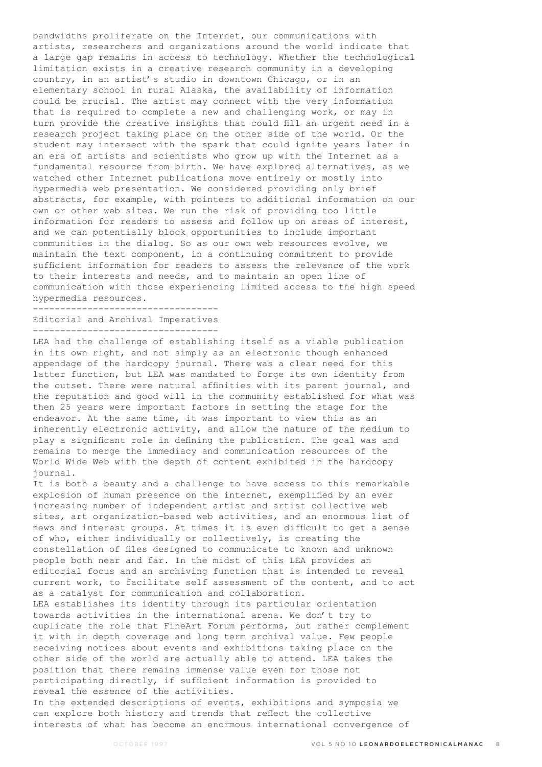bandwidths proliferate on the Internet, our communications with artists, researchers and organizations around the world indicate that a large gap remains in access to technology. Whether the technological limitation exists in a creative research community in a developing country, in an artist's studio in downtown Chicago, or in an elementary school in rural Alaska, the availability of information could be crucial. The artist may connect with the very information that is required to complete a new and challenging work, or may in turn provide the creative insights that could fill an urgent need in a research project taking place on the other side of the world. Or the student may intersect with the spark that could ignite years later in an era of artists and scientists who grow up with the Internet as a fundamental resource from birth. We have explored alternatives, as we watched other Internet publications move entirely or mostly into hypermedia web presentation. We considered providing only brief abstracts, for example, with pointers to additional information on our own or other web sites. We run the risk of providing too little information for readers to assess and follow up on areas of interest, and we can potentially block opportunities to include important communities in the dialog. So as our own web resources evolve, we maintain the text component, in a continuing commitment to provide sufficient information for readers to assess the relevance of the work to their interests and needs, and to maintain an open line of communication with those experiencing limited access to the high speed hypermedia resources.

---------------------------------- Editorial and Archival Imperatives ----------------------------------

LEA had the challenge of establishing itself as a viable publication in its own right, and not simply as an electronic though enhanced appendage of the hardcopy journal. There was a clear need for this latter function, but LEA was mandated to forge its own identity from the outset. There were natural affinities with its parent journal, and the reputation and good will in the community established for what was then 25 years were important factors in setting the stage for the endeavor. At the same time, it was important to view this as an inherently electronic activity, and allow the nature of the medium to play a significant role in defining the publication. The goal was and remains to merge the immediacy and communication resources of the World Wide Web with the depth of content exhibited in the hardcopy journal.

It is both a beauty and a challenge to have access to this remarkable explosion of human presence on the internet, exemplified by an ever increasing number of independent artist and artist collective web sites, art organization-based web activities, and an enormous list of news and interest groups. At times it is even difficult to get a sense of who, either individually or collectively, is creating the constellation of files designed to communicate to known and unknown people both near and far. In the midst of this LEA provides an editorial focus and an archiving function that is intended to reveal current work, to facilitate self assessment of the content, and to act as a catalyst for communication and collaboration.

LEA establishes its identity through its particular orientation towards activities in the international arena. We don't try to duplicate the role that FineArt Forum performs, but rather complement it with in depth coverage and long term archival value. Few people receiving notices about events and exhibitions taking place on the other side of the world are actually able to attend. LEA takes the position that there remains immense value even for those not participating directly, if sufficient information is provided to reveal the essence of the activities.

In the extended descriptions of events, exhibitions and symposia we can explore both history and trends that reflect the collective interests of what has become an enormous international convergence of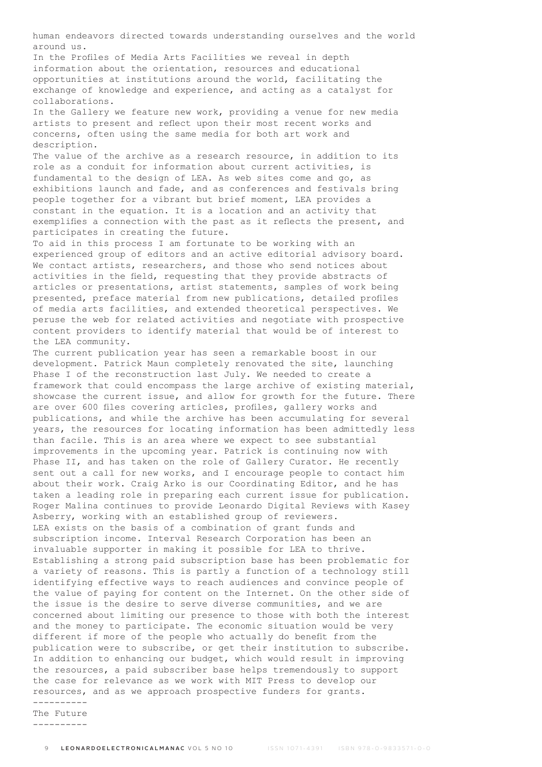human endeavors directed towards understanding ourselves and the world around us. In the Profiles of Media Arts Facilities we reveal in depth information about the orientation, resources and educational opportunities at institutions around the world, facilitating the exchange of knowledge and experience, and acting as a catalyst for collaborations. In the Gallery we feature new work, providing a venue for new media artists to present and reflect upon their most recent works and concerns, often using the same media for both art work and description. The value of the archive as a research resource, in addition to its role as a conduit for information about current activities, is fundamental to the design of LEA. As web sites come and go, as exhibitions launch and fade, and as conferences and festivals bring people together for a vibrant but brief moment, LEA provides a constant in the equation. It is a location and an activity that exemplifies a connection with the past as it reflects the present, and participates in creating the future. To aid in this process I am fortunate to be working with an experienced group of editors and an active editorial advisory board. We contact artists, researchers, and those who send notices about activities in the field, requesting that they provide abstracts of articles or presentations, artist statements, samples of work being presented, preface material from new publications, detailed profiles of media arts facilities, and extended theoretical perspectives. We peruse the web for related activities and negotiate with prospective content providers to identify material that would be of interest to the LEA community. The current publication year has seen a remarkable boost in our development. Patrick Maun completely renovated the site, launching Phase I of the reconstruction last July. We needed to create a framework that could encompass the large archive of existing material, showcase the current issue, and allow for growth for the future. There are over 600 files covering articles, profiles, gallery works and publications, and while the archive has been accumulating for several years, the resources for locating information has been admittedly less than facile. This is an area where we expect to see substantial improvements in the upcoming year. Patrick is continuing now with Phase II, and has taken on the role of Gallery Curator. He recently sent out a call for new works, and I encourage people to contact him about their work. Craig Arko is our Coordinating Editor, and he has taken a leading role in preparing each current issue for publication. Roger Malina continues to provide Leonardo Digital Reviews with Kasey Asberry, working with an established group of reviewers. LEA exists on the basis of a combination of grant funds and subscription income. Interval Research Corporation has been an invaluable supporter in making it possible for LEA to thrive. Establishing a strong paid subscription base has been problematic for a variety of reasons. This is partly a function of a technology still identifying effective ways to reach audiences and convince people of the value of paying for content on the Internet. On the other side of the issue is the desire to serve diverse communities, and we are concerned about limiting our presence to those with both the interest and the money to participate. The economic situation would be very different if more of the people who actually do benefit from the publication were to subscribe, or get their institution to subscribe. In addition to enhancing our budget, which would result in improving the resources, a paid subscriber base helps tremendously to support the case for relevance as we work with MIT Press to develop our resources, and as we approach prospective funders for grants. ----------

The Future

----------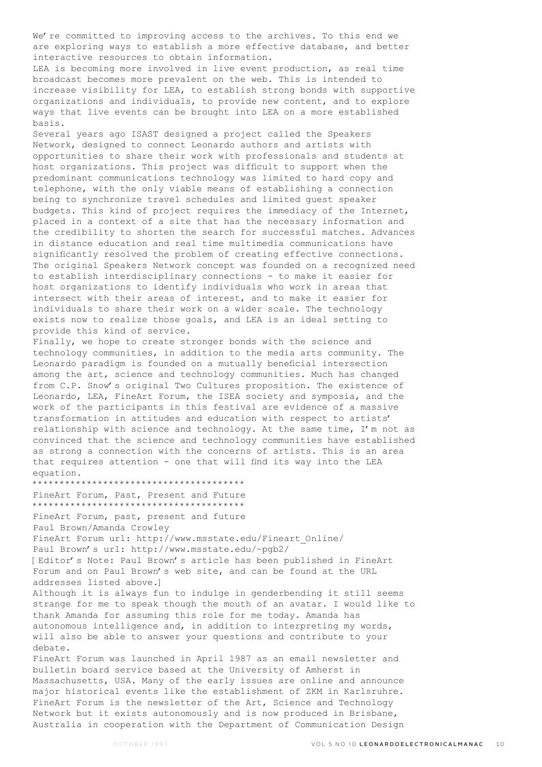We're committed to improving access to the archives. To this end we are exploring ways to establish a more effective database, and better interactive resources to obtain information.

LEA is becoming more involved in live event production, as real time broadcast becomes more prevalent on the web. This is intended to increase visibility for LEA, to establish strong bonds with supportive organizations and individuals, to provide new content, and to explore ways that live events can be brought into LEA on a more established basis.

Several years ago ISAST designed a project called the Speakers Network, designed to connect Leonardo authors and artists with opportunities to share their work with professionals and students at host organizations. This project was difficult to support when the predominant communications technology was limited to hard copy and telephone, with the only viable means of establishing a connection being to synchronize travel schedules and limited guest speaker budgets. This kind of project requires the immediacy of the Internet, placed in a context of a site that has the necessary information and the credibility to shorten the search for successful matches. Advances in distance education and real time multimedia communications have significantly resolved the problem of creating effective connections. The original Speakers Network concept was founded on a recognized need to establish interdisciplinary connections - to make it easier for host organizations to identify individuals who work in areas that intersect with their areas of interest, and to make it easier for individuals to share their work on a wider scale. The technology exists now to realize those goals, and LEA is an ideal setting to provide this kind of service.

Finally, we hope to create stronger bonds with the science and technology communities, in addition to the media arts community. The Leonardo paradigm is founded on a mutually beneficial intersection among the art, science and technology communities. Much has changed from C.P. Snow's original Two Cultures proposition. The existence of Leonardo, LEA, FineArt Forum, the ISEA society and symposia, and the work of the participants in this festival are evidence of a massive transformation in attitudes and education with respect to artists' relationship with science and technology. At the same time, I'm not as convinced that the science and technology communities have established as strong a connection with the concerns of artists. This is an area that requires attention - one that will find its way into the LEA equation.

\*\*\*\*\*\*\*\*\*\*\*\*\*\*\*\*\*\*\*\*\*\*\*\*\*\*\*\*\*\*\*\*\*\*\*\*\*\*\*

FineArt Forum, Past, Present and Future

\*\*\*\*\*\*\*\*\*\*\*\*\*\*\*\*\*\*\*\*\*\*\*\*\*\*\*\*\*\*\*\*\*\*\*\*\*\*\*

FineArt Forum, past, present and future Paul Brown/Amanda Crowley

FineArt Forum url: http://www.msstate.edu/Fineart\_Online/ Paul Brown's url: http://www.msstate.edu/~pgb2/ [Editor's Note: Paul Brown's article has been published in FineArt Forum and on Paul Brown's web site, and can be found at the URL addresses listed above.]

Although it is always fun to indulge in genderbending it still seems strange for me to speak though the mouth of an avatar. I would like to thank Amanda for assuming this role for me today. Amanda has autonomous intelligence and, in addition to interpreting my words, will also be able to answer your questions and contribute to your debate.

FineArt Forum was launched in April 1987 as an email newsletter and bulletin board service based at the University of Amherst in Massachusetts, USA. Many of the early issues are online and announce major historical events like the establishment of ZKM in Karlsruhre. FineArt Forum is the newsletter of the Art, Science and Technology Network but it exists autonomously and is now produced in Brisbane, Australia in cooperation with the Department of Communication Design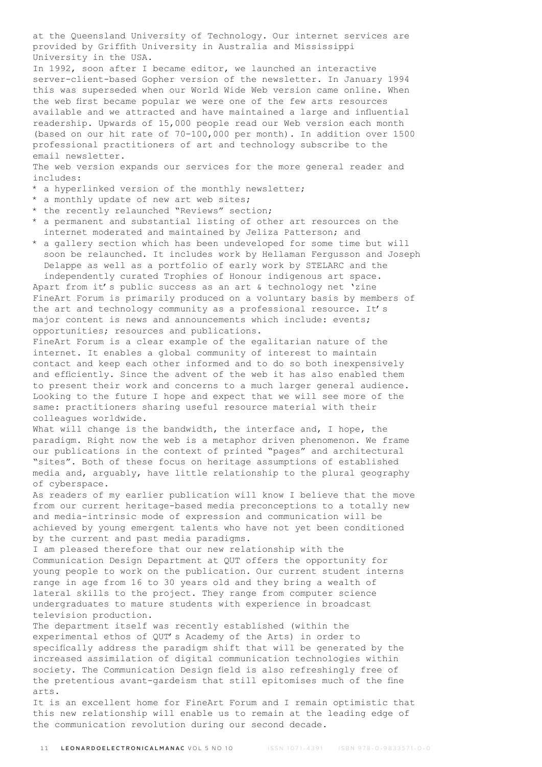at the Queensland University of Technology. Our internet services are provided by Griffith University in Australia and Mississippi University in the USA.

In 1992, soon after I became editor, we launched an interactive server-client-based Gopher version of the newsletter. In January 1994 this was superseded when our World Wide Web version came online. When the web first became popular we were one of the few arts resources available and we attracted and have maintained a large and influential readership. Upwards of 15,000 people read our Web version each month (based on our hit rate of 70-100,000 per month). In addition over 1500 professional practitioners of art and technology subscribe to the email newsletter.

The web version expands our services for the more general reader and includes:

- \* a hyperlinked version of the monthly newsletter;
- \* a monthly update of new art web sites;
- \* the recently relaunched "Reviews" section;
- \* a permanent and substantial listing of other art resources on the internet moderated and maintained by Jeliza Patterson; and
- \* a gallery section which has been undeveloped for some time but will soon be relaunched. It includes work by Hellaman Fergusson and Joseph Delappe as well as a portfolio of early work by STELARC and the independently curated Trophies of Honour indigenous art space.

Apart from it's public success as an art & technology net 'zine FineArt Forum is primarily produced on a voluntary basis by members of the art and technology community as a professional resource. It's major content is news and announcements which include: events; opportunities; resources and publications.

FineArt Forum is a clear example of the egalitarian nature of the internet. It enables a global community of interest to maintain contact and keep each other informed and to do so both inexpensively and efficiently. Since the advent of the web it has also enabled them to present their work and concerns to a much larger general audience. Looking to the future I hope and expect that we will see more of the same: practitioners sharing useful resource material with their colleagues worldwide.

What will change is the bandwidth, the interface and, I hope, the paradigm. Right now the web is a metaphor driven phenomenon. We frame our publications in the context of printed "pages" and architectural "sites". Both of these focus on heritage assumptions of established media and, arguably, have little relationship to the plural geography of cyberspace.

As readers of my earlier publication will know I believe that the move from our current heritage-based media preconceptions to a totally new and media-intrinsic mode of expression and communication will be achieved by young emergent talents who have not yet been conditioned by the current and past media paradigms.

I am pleased therefore that our new relationship with the Communication Design Department at QUT offers the opportunity for young people to work on the publication. Our current student interns range in age from 16 to 30 years old and they bring a wealth of lateral skills to the project. They range from computer science undergraduates to mature students with experience in broadcast television production.

The department itself was recently established (within the experimental ethos of QUT's Academy of the Arts) in order to specifically address the paradigm shift that will be generated by the increased assimilation of digital communication technologies within society. The Communication Design field is also refreshingly free of the pretentious avant-gardeism that still epitomises much of the fine arts.

It is an excellent home for FineArt Forum and I remain optimistic that this new relationship will enable us to remain at the leading edge of the communication revolution during our second decade.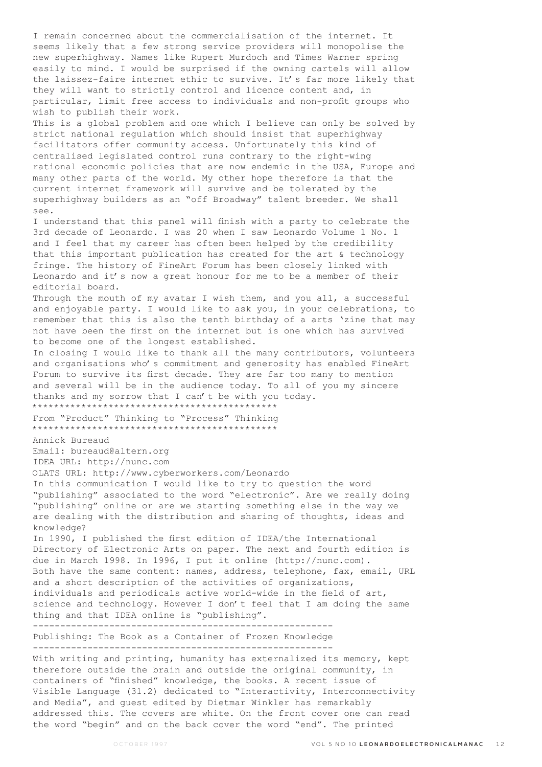I remain concerned about the commercialisation of the internet. It seems likely that a few strong service providers will monopolise the new superhighway. Names like Rupert Murdoch and Times Warner spring easily to mind. I would be surprised if the owning cartels will allow the laissez-faire internet ethic to survive. It's far more likely that they will want to strictly control and licence content and, in particular, limit free access to individuals and non-profit groups who wish to publish their work. This is a global problem and one which I believe can only be solved by strict national regulation which should insist that superhighway facilitators offer community access. Unfortunately this kind of centralised legislated control runs contrary to the right-wing rational economic policies that are now endemic in the USA, Europe and many other parts of the world. My other hope therefore is that the current internet framework will survive and be tolerated by the superhighway builders as an "off Broadway" talent breeder. We shall see. I understand that this panel will finish with a party to celebrate the 3rd decade of Leonardo. I was 20 when I saw Leonardo Volume 1 No. 1 and I feel that my career has often been helped by the credibility that this important publication has created for the art & technology fringe. The history of FineArt Forum has been closely linked with Leonardo and it's now a great honour for me to be a member of their editorial board. Through the mouth of my avatar I wish them, and you all, a successful and enjoyable party. I would like to ask you, in your celebrations, to remember that this is also the tenth birthday of a arts 'zine that may not have been the first on the internet but is one which has survived to become one of the longest established. In closing I would like to thank all the many contributors, volunteers and organisations who's commitment and generosity has enabled FineArt Forum to survive its first decade. They are far too many to mention and several will be in the audience today. To all of you my sincere thanks and my sorrow that I can't be with you today. \*\*\*\*\*\*\*\*\*\*\*\*\*\*\*\*\*\*\*\*\*\*\*\*\*\*\*\*\*\*\*\*\*\*\*\*\*\*\*\*\*\*\*\*\* From "Product" Thinking to "Process" Thinking \*\*\*\*\*\*\*\*\*\*\*\*\*\*\*\*\*\*\*\*\*\*\*\*\*\*\*\*\*\*\*\*\*\*\*\*\*\*\*\*\*\*\*\*\* Annick Bureaud Email: bureaud@altern.org IDEA URL: http://nunc.com OLATS URL: http://www.cyberworkers.com/Leonardo In this communication I would like to try to question the word "publishing" associated to the word "electronic". Are we really doing "publishing" online or are we starting something else in the way we are dealing with the distribution and sharing of thoughts, ideas and knowledge? In 1990, I published the first edition of IDEA/the International Directory of Electronic Arts on paper. The next and fourth edition is due in March 1998. In 1996, I put it online (http://nunc.com). Both have the same content: names, address, telephone, fax, email, URL and a short description of the activities of organizations, individuals and periodicals active world-wide in the field of art, science and technology. However I don't feel that I am doing the same thing and that IDEA online is "publishing". ------------------------------------------------------- Publishing: The Book as a Container of Frozen Knowledge ------------------------------------------------------- With writing and printing, humanity has externalized its memory, kept therefore outside the brain and outside the original community, in containers of "finished" knowledge, the books. A recent issue of Visible Language (31.2) dedicated to "Interactivity, Interconnectivity and Media", and guest edited by Dietmar Winkler has remarkably

addressed this. The covers are white. On the front cover one can read the word "begin" and on the back cover the word "end". The printed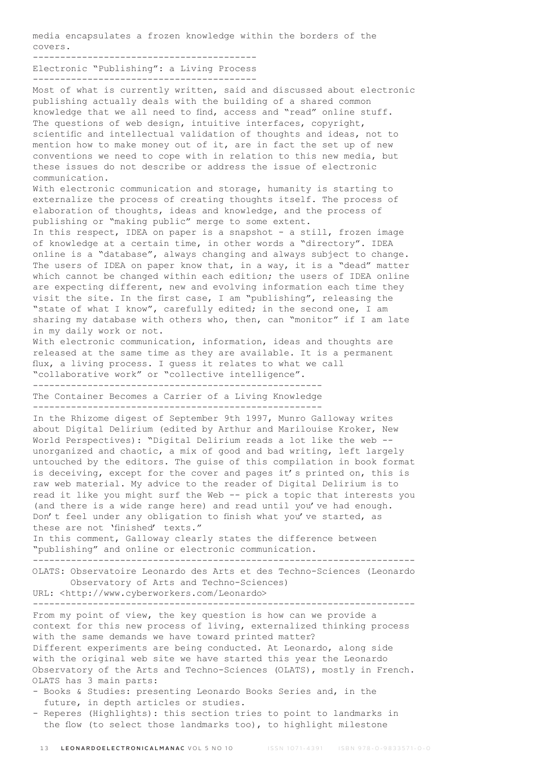media encapsulates a frozen knowledge within the borders of the covers.

-----------------------------------------

Electronic "Publishing": a Living Process -----------------------------------------

Most of what is currently written, said and discussed about electronic publishing actually deals with the building of a shared common knowledge that we all need to find, access and "read" online stuff. The questions of web design, intuitive interfaces, copyright, scientific and intellectual validation of thoughts and ideas, not to mention how to make money out of it, are in fact the set up of new conventions we need to cope with in relation to this new media, but these issues do not describe or address the issue of electronic communication. With electronic communication and storage, humanity is starting to

externalize the process of creating thoughts itself. The process of elaboration of thoughts, ideas and knowledge, and the process of publishing or "making public" merge to some extent. In this respect, IDEA on paper is a snapshot - a still, frozen image of knowledge at a certain time, in other words a "directory". IDEA online is a "database", always changing and always subject to change. The users of IDEA on paper know that, in a way, it is a "dead" matter which cannot be changed within each edition; the users of IDEA online are expecting different, new and evolving information each time they visit the site. In the first case, I am "publishing", releasing the "state of what I know", carefully edited; in the second one, I am sharing my database with others who, then, can "monitor" if I am late in my daily work or not.

With electronic communication, information, ideas and thoughts are released at the same time as they are available. It is a permanent flux, a living process. I guess it relates to what we call "collaborative work" or "collective intelligence".

----------------------------------------------------- The Container Becomes a Carrier of a Living Knowledge -----------------------------------------------------

In the Rhizome digest of September 9th 1997, Munro Galloway writes about Digital Delirium (edited by Arthur and Marilouise Kroker, New World Perspectives): "Digital Delirium reads a lot like the web - unorganized and chaotic, a mix of good and bad writing, left largely untouched by the editors. The guise of this compilation in book format is deceiving, except for the cover and pages it's printed on, this is raw web material. My advice to the reader of Digital Delirium is to read it like you might surf the Web -- pick a topic that interests you (and there is a wide range here) and read until you've had enough. Don't feel under any obligation to finish what you've started, as these are not 'finished' texts."

In this comment, Galloway clearly states the difference between "publishing" and online or electronic communication.

---------------------------------------------------------------------- OLATS: Observatoire Leonardo des Arts et des Techno-Sciences (Leonardo

 Observatory of Arts and Techno-Sciences) URL: <http://www.cyberworkers.com/Leonardo>

----------------------------------------------------------------------

From my point of view, the key question is how can we provide a context for this new process of living, externalized thinking process with the same demands we have toward printed matter? Different experiments are being conducted. At Leonardo, along side with the original web site we have started this year the Leonardo Observatory of the Arts and Techno-Sciences (OLATS), mostly in French. OLATS has 3 main parts:

- Books & Studies: presenting Leonardo Books Series and, in the future, in depth articles or studies.
- Reperes (Highlights): this section tries to point to landmarks in the flow (to select those landmarks too), to highlight milestone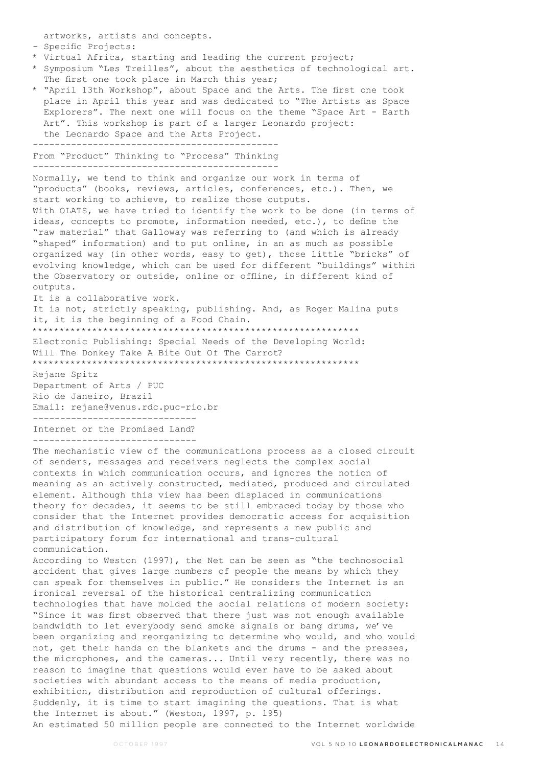artworks, artists and concepts.

## - Specific Projects:

- \* Virtual Africa, starting and leading the current project;
- \* Symposium "Les Treilles", about the aesthetics of technological art. The first one took place in March this year;
- \* "April 13th Workshop", about Space and the Arts. The first one took place in April this year and was dedicated to "The Artists as Space Explorers". The next one will focus on the theme "Space Art - Earth Art". This workshop is part of a larger Leonardo project: the Leonardo Space and the Arts Project.

--------------------------------------------- From "Product" Thinking to "Process" Thinking ---------------------------------------------

Normally, we tend to think and organize our work in terms of "products" (books, reviews, articles, conferences, etc.). Then, we start working to achieve, to realize those outputs. With OLATS, we have tried to identify the work to be done (in terms of ideas, concepts to promote, information needed, etc.), to define the "raw material" that Galloway was referring to (and which is already "shaped" information) and to put online, in an as much as possible organized way (in other words, easy to get), those little "bricks" of evolving knowledge, which can be used for different "buildings" within the Observatory or outside, online or offline, in different kind of outputs.

It is a collaborative work.

It is not, strictly speaking, publishing. And, as Roger Malina puts it, it is the beginning of a Food Chain.

\*\*\*\*\*\*\*\*\*\*\*\*\*\*\*\*\*\*\*\*\*\*\*\*\*\*\*\*\*\*\*\*\*\*\*\*\*\*\*\*\*\*\*\*\*\*\*\*\*\*\*\*\*\*\*\*\*\*\*\*

Electronic Publishing: Special Needs of the Developing World: Will The Donkey Take A Bite Out Of The Carrot? \*\*\*\*\*\*\*\*\*\*\*\*\*\*\*\*\*\*\*\*\*\*\*\*\*\*\*\*\*\*\*\*\*\*\*\*\*\*\*\*\*\*\*\*\*\*\*\*\*\*\*\*\*\*\*\*\*\*\*\*

Rejane Spitz Department of Arts / PUC Rio de Janeiro, Brazil Email: rejane@venus.rdc.puc-rio.br ------------------------------

Internet or the Promised Land? ------------------------------

The mechanistic view of the communications process as a closed circuit of senders, messages and receivers neglects the complex social contexts in which communication occurs, and ignores the notion of meaning as an actively constructed, mediated, produced and circulated element. Although this view has been displaced in communications theory for decades, it seems to be still embraced today by those who consider that the Internet provides democratic access for acquisition and distribution of knowledge, and represents a new public and participatory forum for international and trans-cultural communication.

According to Weston (1997), the Net can be seen as "the technosocial accident that gives large numbers of people the means by which they can speak for themselves in public." He considers the Internet is an ironical reversal of the historical centralizing communication technologies that have molded the social relations of modern society: "Since it was first observed that there just was not enough available bandwidth to let everybody send smoke signals or bang drums, we've been organizing and reorganizing to determine who would, and who would not, get their hands on the blankets and the drums - and the presses, the microphones, and the cameras... Until very recently, there was no reason to imagine that questions would ever have to be asked about societies with abundant access to the means of media production, exhibition, distribution and reproduction of cultural offerings. Suddenly, it is time to start imagining the questions. That is what the Internet is about." (Weston, 1997, p. 195) An estimated 50 million people are connected to the Internet worldwide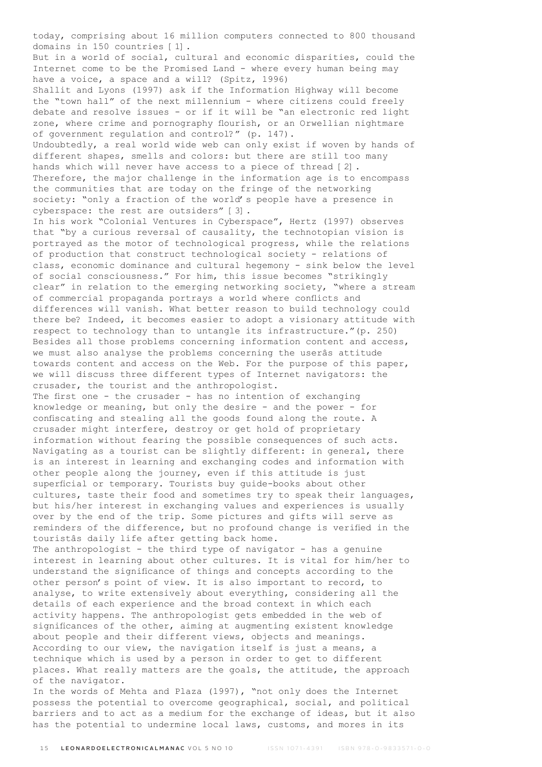today, comprising about 16 million computers connected to 800 thousand domains in 150 countries [1].

But in a world of social, cultural and economic disparities, could the Internet come to be the Promised Land - where every human being may have a voice, a space and a will? (Spitz, 1996)

Shallit and Lyons (1997) ask if the Information Highway will become the "town hall" of the next millennium - where citizens could freely debate and resolve issues - or if it will be "an electronic red light zone, where crime and pornography flourish, or an Orwellian nightmare of government regulation and control?" (p. 147).

Undoubtedly, a real world wide web can only exist if woven by hands of different shapes, smells and colors: but there are still too many hands which will never have access to a piece of thread [2]. Therefore, the major challenge in the information age is to encompass the communities that are today on the fringe of the networking society: "only a fraction of the world's people have a presence in cyberspace: the rest are outsiders" [3].

In his work "Colonial Ventures in Cyberspace", Hertz (1997) observes that "by a curious reversal of causality, the technotopian vision is portrayed as the motor of technological progress, while the relations of production that construct technological society - relations of class, economic dominance and cultural hegemony - sink below the level of social consciousness." For him, this issue becomes "strikingly clear" in relation to the emerging networking society, "where a stream of commercial propaganda portrays a world where conflicts and differences will vanish. What better reason to build technology could there be? Indeed, it becomes easier to adopt a visionary attitude with respect to technology than to untangle its infrastructure."(p. 250) Besides all those problems concerning information content and access, we must also analyse the problems concerning the userâs attitude towards content and access on the Web. For the purpose of this paper, we will discuss three different types of Internet navigators: the crusader, the tourist and the anthropologist.

The first one - the crusader - has no intention of exchanging knowledge or meaning, but only the desire - and the power - for confiscating and stealing all the goods found along the route. A crusader might interfere, destroy or get hold of proprietary information without fearing the possible consequences of such acts. Navigating as a tourist can be slightly different: in general, there is an interest in learning and exchanging codes and information with other people along the journey, even if this attitude is just superficial or temporary. Tourists buy guide-books about other cultures, taste their food and sometimes try to speak their languages, but his/her interest in exchanging values and experiences is usually over by the end of the trip. Some pictures and gifts will serve as reminders of the difference, but no profound change is verified in the touristâs daily life after getting back home.

The anthropologist - the third type of navigator - has a genuine interest in learning about other cultures. It is vital for him/her to understand the significance of things and concepts according to the other person's point of view. It is also important to record, to analyse, to write extensively about everything, considering all the details of each experience and the broad context in which each activity happens. The anthropologist gets embedded in the web of significances of the other, aiming at augmenting existent knowledge about people and their different views, objects and meanings. According to our view, the navigation itself is just a means, a technique which is used by a person in order to get to different places. What really matters are the goals, the attitude, the approach of the navigator.

In the words of Mehta and Plaza (1997), "not only does the Internet possess the potential to overcome geographical, social, and political barriers and to act as a medium for the exchange of ideas, but it also has the potential to undermine local laws, customs, and mores in its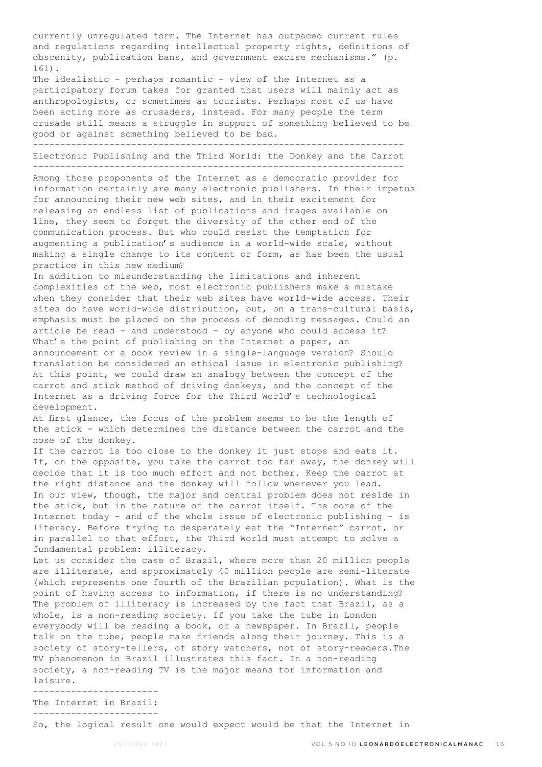currently unregulated form. The Internet has outpaced current rules and regulations regarding intellectual property rights, definitions of obscenity, publication bans, and government excise mechanisms." (p. 161).

The idealistic - perhaps romantic - view of the Internet as a participatory forum takes for granted that users will mainly act as anthropologists, or sometimes as tourists. Perhaps most of us have been acting more as crusaders, instead. For many people the term crusade still means a struggle in support of something believed to be good or against something believed to be bad.

-------------------------------------------------------------------- Electronic Publishing and the Third World: the Donkey and the Carrot --------------------------------------------------------------------

Among those proponents of the Internet as a democratic provider for information certainly are many electronic publishers. In their impetus for announcing their new web sites, and in their excitement for releasing an endless list of publications and images available on line, they seem to forget the diversity of the other end of the communication process. But who could resist the temptation for augmenting a publication's audience in a world-wide scale, without making a single change to its content or form, as has been the usual practice in this new medium?

In addition to misunderstanding the limitations and inherent complexities of the web, most electronic publishers make a mistake when they consider that their web sites have world-wide access. Their sites do have world-wide distribution, but, on a trans-cultural basis, emphasis must be placed on the process of decoding messages. Could an article be read - and understood - by anyone who could access it? What's the point of publishing on the Internet a paper, an announcement or a book review in a single-language version? Should translation be considered an ethical issue in electronic publishing? At this point, we could draw an analogy between the concept of the carrot and stick method of driving donkeys, and the concept of the Internet as a driving force for the Third World's technological development.

At first glance, the focus of the problem seems to be the length of the stick - which determines the distance between the carrot and the nose of the donkey.

If the carrot is too close to the donkey it just stops and eats it. If, on the opposite, you take the carrot too far away, the donkey will decide that it is too much effort and not bother. Keep the carrot at the right distance and the donkey will follow wherever you lead. In our view, though, the major and central problem does not reside in the stick, but in the nature of the carrot itself. The core of the Internet today - and of the whole issue of electronic publishing - is literacy. Before trying to desperately eat the "Internet" carrot, or in parallel to that effort, the Third World must attempt to solve a fundamental problem: illiteracy.

Let us consider the case of Brazil, where more than 20 million people are illiterate, and approximately 40 million people are semi-literate (which represents one fourth of the Brazilian population). What is the point of having access to information, if there is no understanding? The problem of illiteracy is increased by the fact that Brazil, as a whole, is a non-reading society. If you take the tube in London everybody will be reading a book, or a newspaper. In Brazil, people talk on the tube, people make friends along their journey. This is a society of story-tellers, of story watchers, not of story-readers.The TV phenomenon in Brazil illustrates this fact. In a non-reading society, a non-reading TV is the major means for information and leisure.

----------------------- The Internet in Brazil: -----------------------

So, the logical result one would expect would be that the Internet in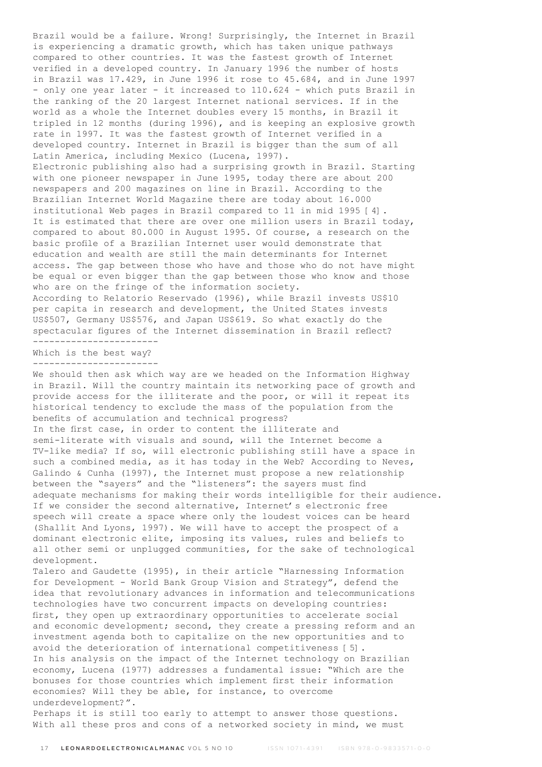Brazil would be a failure. Wrong! Surprisingly, the Internet in Brazil is experiencing a dramatic growth, which has taken unique pathways compared to other countries. It was the fastest growth of Internet verified in a developed country. In January 1996 the number of hosts in Brazil was 17.429, in June 1996 it rose to 45.684, and in June 1997 - only one year later - it increased to 110.624 - which puts Brazil in the ranking of the 20 largest Internet national services. If in the world as a whole the Internet doubles every 15 months, in Brazil it tripled in 12 months (during 1996), and is keeping an explosive growth rate in 1997. It was the fastest growth of Internet verified in a developed country. Internet in Brazil is bigger than the sum of all Latin America, including Mexico (Lucena, 1997). Electronic publishing also had a surprising growth in Brazil. Starting with one pioneer newspaper in June 1995, today there are about 200 newspapers and 200 magazines on line in Brazil. According to the Brazilian Internet World Magazine there are today about 16.000 institutional Web pages in Brazil compared to 11 in mid 1995 [4]. It is estimated that there are over one million users in Brazil today, compared to about 80.000 in August 1995. Of course, a research on the basic profile of a Brazilian Internet user would demonstrate that education and wealth are still the main determinants for Internet access. The gap between those who have and those who do not have might be equal or even bigger than the gap between those who know and those who are on the fringe of the information society. According to Relatorio Reservado (1996), while Brazil invests US\$10 per capita in research and development, the United States invests US\$507, Germany US\$576, and Japan US\$619. So what exactly do the spectacular figures of the Internet dissemination in Brazil reflect? ----------------------- Which is the best way? ----------------------- We should then ask which way are we headed on the Information Highway in Brazil. Will the country maintain its networking pace of growth and provide access for the illiterate and the poor, or will it repeat its historical tendency to exclude the mass of the population from the benefits of accumulation and technical progress? In the first case, in order to content the illiterate and semi-literate with visuals and sound, will the Internet become a TV-like media? If so, will electronic publishing still have a space in such a combined media, as it has today in the Web? According to Neves, Galindo & Cunha (1997), the Internet must propose a new relationship between the "sayers" and the "listeners": the sayers must find adequate mechanisms for making their words intelligible for their audience. If we consider the second alternative, Internet's electronic free speech will create a space where only the loudest voices can be heard

(Shallit And Lyons, 1997). We will have to accept the prospect of a dominant electronic elite, imposing its values, rules and beliefs to all other semi or unplugged communities, for the sake of technological development.

Talero and Gaudette (1995), in their article "Harnessing Information for Development - World Bank Group Vision and Strategy", defend the idea that revolutionary advances in information and telecommunications technologies have two concurrent impacts on developing countries: first, they open up extraordinary opportunities to accelerate social and economic development; second, they create a pressing reform and an investment agenda both to capitalize on the new opportunities and to avoid the deterioration of international competitiveness [5]. In his analysis on the impact of the Internet technology on Brazilian economy, Lucena (1977) addresses a fundamental issue: "Which are the bonuses for those countries which implement first their information economies? Will they be able, for instance, to overcome underdevelopment?".

Perhaps it is still too early to attempt to answer those questions. With all these pros and cons of a networked society in mind, we must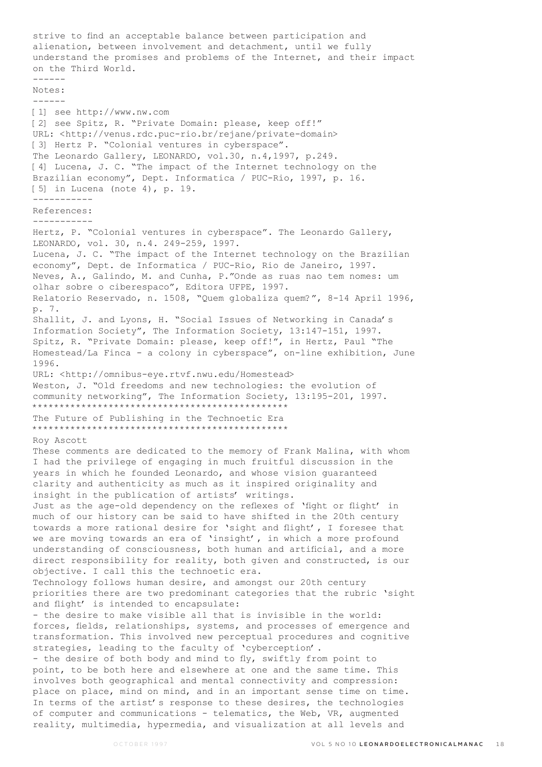strive to find an acceptable balance between participation and alienation, between involvement and detachment, until we fully understand the promises and problems of the Internet, and their impact on the Third World. ------ Notes: ------ [1] see http://www.nw.com [2] see Spitz, R. "Private Domain: please, keep off!" URL: <http://venus.rdc.puc-rio.br/rejane/private-domain> [3] Hertz P. "Colonial ventures in cyberspace". The Leonardo Gallery, LEONARDO, vol.30, n.4,1997, p.249. [4] Lucena, J. C. "The impact of the Internet technology on the Brazilian economy", Dept. Informatica / PUC-Rio, 1997, p. 16. [5] in Lucena (note 4), p. 19. ----------- References: ----------- Hertz, P. "Colonial ventures in cyberspace". The Leonardo Gallery, LEONARDO, vol. 30, n.4. 249-259, 1997. Lucena, J. C. "The impact of the Internet technology on the Brazilian economy", Dept. de Informatica / PUC-Rio, Rio de Janeiro, 1997. Neves, A., Galindo, M. and Cunha, P."Onde as ruas nao tem nomes: um olhar sobre o ciberespaco", Editora UFPE, 1997. Relatorio Reservado, n. 1508, "Quem globaliza quem?", 8-14 April 1996, p. 7. Shallit, J. and Lyons, H. "Social Issues of Networking in Canada's Information Society", The Information Society, 13:147-151, 1997. Spitz, R. "Private Domain: please, keep off!", in Hertz, Paul "The Homestead/La Finca - a colony in cyberspace", on-line exhibition, June 1996. URL: <http://omnibus-eye.rtvf.nwu.edu/Homestead> Weston, J. "Old freedoms and new technologies: the evolution of community networking", The Information Society, 13:195-201, 1997. \*\*\*\*\*\*\*\*\*\*\*\*\*\*\*\*\*\*\*\*\*\*\*\*\*\*\*\*\*\*\*\*\*\*\*\*\*\*\*\*\*\*\*\*\*\*\* The Future of Publishing in the Technoetic Era \*\*\*\*\*\*\*\*\*\*\*\*\*\*\*\*\*\*\*\*\*\*\*\*\*\*\*\*\*\*\*\*\*\*\*\*\*\*\*\*\*\*\*\*\*\*\* Roy Ascott These comments are dedicated to the memory of Frank Malina, with whom I had the privilege of engaging in much fruitful discussion in the years in which he founded Leonardo, and whose vision guaranteed clarity and authenticity as much as it inspired originality and insight in the publication of artists' writings. Just as the age-old dependency on the reflexes of 'fight or flight' in much of our history can be said to have shifted in the 20th century towards a more rational desire for 'sight and flight', I foresee that we are moving towards an era of 'insight', in which a more profound understanding of consciousness, both human and artificial, and a more direct responsibility for reality, both given and constructed, is our objective. I call this the technoetic era. Technology follows human desire, and amongst our 20th century priorities there are two predominant categories that the rubric 'sight and flight' is intended to encapsulate: - the desire to make visible all that is invisible in the world: forces, fields, relationships, systems, and processes of emergence and transformation. This involved new perceptual procedures and cognitive strategies, leading to the faculty of 'cyberception'. - the desire of both body and mind to fly, swiftly from point to point, to be both here and elsewhere at one and the same time. This involves both geographical and mental connectivity and compression: place on place, mind on mind, and in an important sense time on time. In terms of the artist's response to these desires, the technologies of computer and communications - telematics, the Web, VR, augmented reality, multimedia, hypermedia, and visualization at all levels and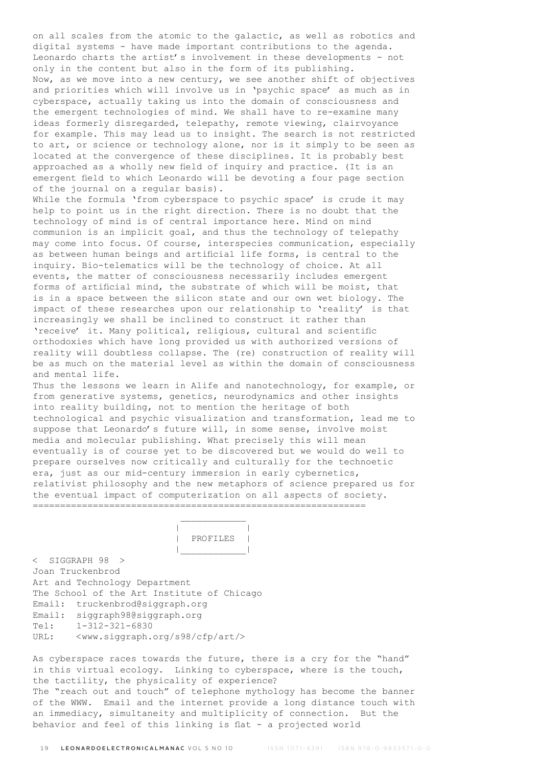on all scales from the atomic to the galactic, as well as robotics and digital systems - have made important contributions to the agenda. Leonardo charts the artist's involvement in these developments - not only in the content but also in the form of its publishing. Now, as we move into a new century, we see another shift of objectives and priorities which will involve us in 'psychic space' as much as in cyberspace, actually taking us into the domain of consciousness and the emergent technologies of mind. We shall have to re-examine many ideas formerly disregarded, telepathy, remote viewing, clairvoyance for example. This may lead us to insight. The search is not restricted to art, or science or technology alone, nor is it simply to be seen as located at the convergence of these disciplines. It is probably best approached as a wholly new field of inquiry and practice. (It is an emergent field to which Leonardo will be devoting a four page section of the journal on a regular basis). While the formula 'from cyberspace to psychic space' is crude it may help to point us in the right direction. There is no doubt that the technology of mind is of central importance here. Mind on mind communion is an implicit goal, and thus the technology of telepathy may come into focus. Of course, interspecies communication, especially as between human beings and artificial life forms, is central to the inquiry. Bio-telematics will be the technology of choice. At all events, the matter of consciousness necessarily includes emergent

forms of artificial mind, the substrate of which will be moist, that is in a space between the silicon state and our own wet biology. The impact of these researches upon our relationship to 'reality' is that increasingly we shall be inclined to construct it rather than 'receive' it. Many political, religious, cultural and scientific orthodoxies which have long provided us with authorized versions of reality will doubtless collapse. The (re) construction of reality will be as much on the material level as within the domain of consciousness and mental life.

Thus the lessons we learn in Alife and nanotechnology, for example, or from generative systems, genetics, neurodynamics and other insights into reality building, not to mention the heritage of both technological and psychic visualization and transformation, lead me to suppose that Leonardo's future will, in some sense, involve moist media and molecular publishing. What precisely this will mean eventually is of course yet to be discovered but we would do well to prepare ourselves now critically and culturally for the technoetic era, just as our mid-century immersion in early cybernetics, relativist philosophy and the new metaphors of science prepared us for the eventual impact of computerization on all aspects of society. =============================================================

 | | | PROFILES | |\_\_\_\_\_\_\_\_\_\_\_\_|

< SIGGRAPH 98 > Joan Truckenbrod Art and Technology Department The School of the Art Institute of Chicago Email: truckenbrod@siggraph.org Email: siggraph98@siggraph.org Tel: 1-312-321-6830 URL: <www.siggraph.org/s98/cfp/art/>

 $\mathcal{L}_\text{max}$  and  $\mathcal{L}_\text{max}$  and  $\mathcal{L}_\text{max}$  and  $\mathcal{L}_\text{max}$ 

As cyberspace races towards the future, there is a cry for the "hand" in this virtual ecology. Linking to cyberspace, where is the touch, the tactility, the physicality of experience? The "reach out and touch" of telephone mythology has become the banner of the WWW. Email and the internet provide a long distance touch with an immediacy, simultaneity and multiplicity of connection. But the behavior and feel of this linking is flat - a projected world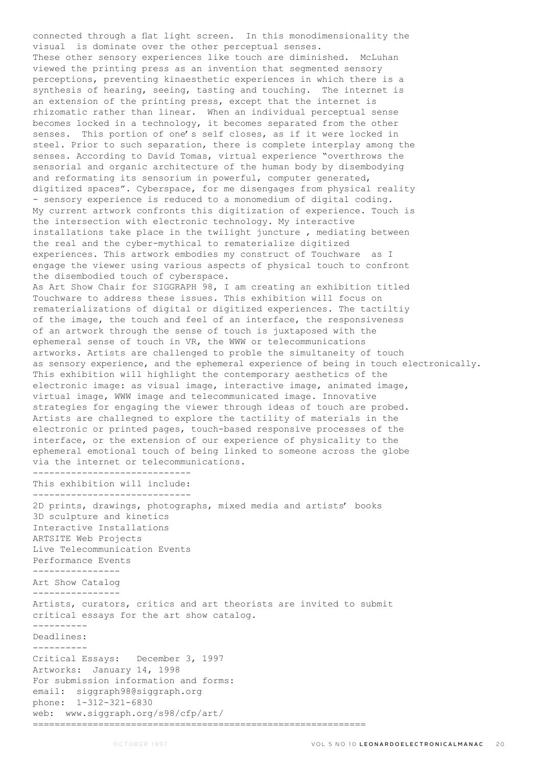connected through a flat light screen. In this monodimensionality the visual is dominate over the other perceptual senses. These other sensory experiences like touch are diminished. McLuhan viewed the printing press as an invention that segmented sensory perceptions, preventing kinaesthetic experiences in which there is a synthesis of hearing, seeing, tasting and touching. The internet is an extension of the printing press, except that the internet is rhizomatic rather than linear. When an individual perceptual sense becomes locked in a technology, it becomes separated from the other senses. This portion of one's self closes, as if it were locked in steel. Prior to such separation, there is complete interplay among the senses. According to David Tomas, virtual experience "overthrows the sensorial and organic architecture of the human body by disembodying and reformating its sensorium in powerful, computer generated, digitized spaces". Cyberspace, for me disengages from physical reality - sensory experience is reduced to a monomedium of digital coding. My current artwork confronts this digitization of experience. Touch is the intersection with electronic technology. My interactive installations take place in the twilight juncture , mediating between the real and the cyber-mythical to rematerialize digitized experiences. This artwork embodies my construct of Touchware as I engage the viewer using various aspects of physical touch to confront the disembodied touch of cyberspace. As Art Show Chair for SIGGRAPH 98, I am creating an exhibition titled Touchware to address these issues. This exhibition will focus on rematerializations of digital or digitized experiences. The tactiltiy of the image, the touch and feel of an interface, the responsiveness of an artwork through the sense of touch is juxtaposed with the ephemeral sense of touch in VR, the WWW or telecommunications artworks. Artists are challenged to proble the simultaneity of touch as sensory experience, and the ephemeral experience of being in touch electronically. This exhibition will highlight the contemporary aesthetics of the electronic image: as visual image, interactive image, animated image, virtual image, WWW image and telecommunicated image. Innovative strategies for engaging the viewer through ideas of touch are probed. Artists are challegned to explore the tactility of materials in the electronic or printed pages, touch-based responsive processes of the interface, or the extension of our experience of physicality to the ephemeral emotional touch of being linked to someone across the globe via the internet or telecommunications. ----------------------------- This exhibition will include: ----------------------------- 2D prints, drawings, photographs, mixed media and artists' books 3D sculpture and kinetics Interactive Installations ARTSITE Web Projects Live Telecommunication Events Performance Events ---------------- Art Show Catalog ---------------- Artists, curators, critics and art theorists are invited to submit critical essays for the art show catalog. ---------- Deadlines: ---------- Critical Essays: December 3, 1997 Artworks: January 14, 1998 For submission information and forms: email: siggraph98@siggraph.org phone: 1-312-321-6830 web: www.siggraph.org/s98/cfp/art/ =============================================================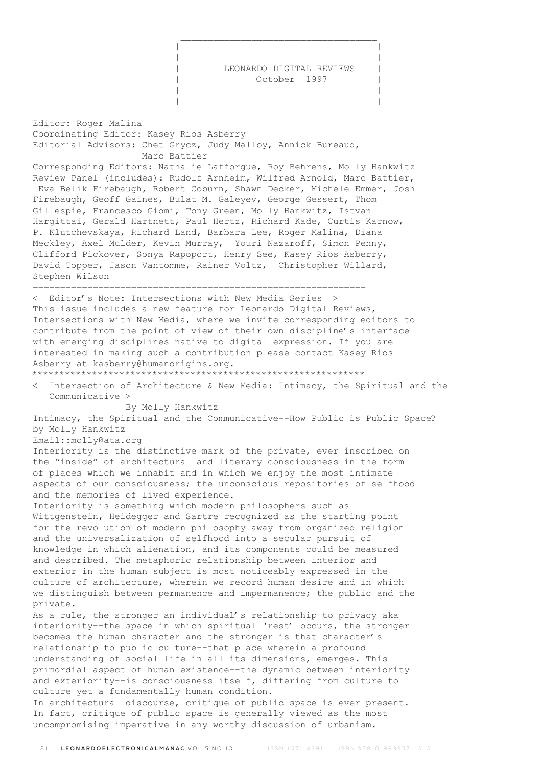LEONARDO DIGITAL REVIEWS October 1997

 $\mathcal{L}_\mathcal{L}$  , which is a set of the set of the set of the set of the set of the set of the set of the set of the set of the set of the set of the set of the set of the set of the set of the set of the set of the set of | | | |

 | | |\_\_\_\_\_\_\_\_\_\_\_\_\_\_\_\_\_\_\_\_\_\_\_\_\_\_\_\_\_\_\_\_\_\_\_\_|

Editor: Roger Malina Coordinating Editor: Kasey Rios Asberry Editorial Advisors: Chet Grycz, Judy Malloy, Annick Bureaud, Marc Battier Corresponding Editors: Nathalie Lafforgue, Roy Behrens, Molly Hankwitz Review Panel (includes): Rudolf Arnheim, Wilfred Arnold, Marc Battier, Eva Belik Firebaugh, Robert Coburn, Shawn Decker, Michele Emmer, Josh Firebaugh, Geoff Gaines, Bulat M. Galeyev, George Gessert, Thom Gillespie, Francesco Giomi, Tony Green, Molly Hankwitz, Istvan Hargittai, Gerald Hartnett, Paul Hertz, Richard Kade, Curtis Karnow, P. Klutchevskaya, Richard Land, Barbara Lee, Roger Malina, Diana Meckley, Axel Mulder, Kevin Murray, Youri Nazaroff, Simon Penny, Clifford Pickover, Sonya Rapoport, Henry See, Kasey Rios Asberry, David Topper, Jason Vantomme, Rainer Voltz, Christopher Willard, Stephen Wilson ============================================================= < Editor's Note: Intersections with New Media Series > This issue includes a new feature for Leonardo Digital Reviews, Intersections with New Media, where we invite corresponding editors to contribute from the point of view of their own discipline's interface with emerging disciplines native to digital expression. If you are interested in making such a contribution please contact Kasey Rios Asberry at kasberry@humanorigins.org. \*\*\*\*\*\*\*\*\*\*\*\*\*\*\*\*\*\*\*\*\*\*\*\*\*\*\*\*\*\*\*\*\*\*\*\*\*\*\*\*\*\*\*\*\*\*\*\*\*\*\*\*\*\*\*\*\*\*\*\*\* < Intersection of Architecture & New Media: Intimacy, the Spiritual and the Communicative > By Molly Hankwitz Intimacy, the Spiritual and the Communicative--How Public is Public Space? by Molly Hankwitz Email::molly@ata.org Interiority is the distinctive mark of the private, ever inscribed on the "inside" of architectural and literary consciousness in the form of places which we inhabit and in which we enjoy the most intimate aspects of our consciousness; the unconscious repositories of selfhood and the memories of lived experience. Interiority is something which modern philosophers such as Wittgenstein, Heidegger and Sartre recognized as the starting point for the revolution of modern philosophy away from organized religion and the universalization of selfhood into a secular pursuit of knowledge in which alienation, and its components could be measured and described. The metaphoric relationship between interior and exterior in the human subject is most noticeably expressed in the culture of architecture, wherein we record human desire and in which we distinguish between permanence and impermanence; the public and the private. As a rule, the stronger an individual's relationship to privacy aka interiority--the space in which spiritual 'rest' occurs, the stronger becomes the human character and the stronger is that character's relationship to public culture--that place wherein a profound understanding of social life in all its dimensions, emerges. This primordial aspect of human existence--the dynamic between interiority and exteriority--is consciousness itself, differing from culture to culture yet a fundamentally human condition. In architectural discourse, critique of public space is ever present. In fact, critique of public space is generally viewed as the most uncompromising imperative in any worthy discussion of urbanism.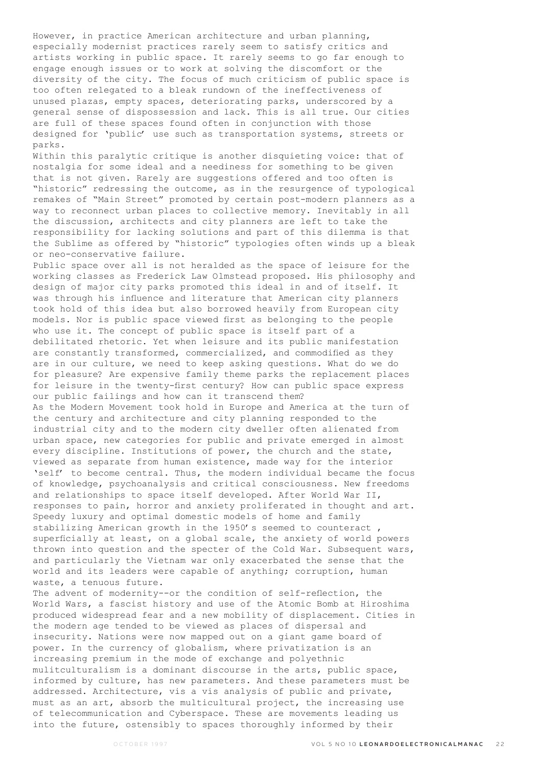However, in practice American architecture and urban planning, especially modernist practices rarely seem to satisfy critics and artists working in public space. It rarely seems to go far enough to engage enough issues or to work at solving the discomfort or the diversity of the city. The focus of much criticism of public space is too often relegated to a bleak rundown of the ineffectiveness of unused plazas, empty spaces, deteriorating parks, underscored by a general sense of dispossession and lack. This is all true. Our cities are full of these spaces found often in conjunction with those designed for 'public' use such as transportation systems, streets or parks.

Within this paralytic critique is another disquieting voice: that of nostalgia for some ideal and a neediness for something to be given that is not given. Rarely are suggestions offered and too often is "historic" redressing the outcome, as in the resurgence of typological remakes of "Main Street" promoted by certain post-modern planners as a way to reconnect urban places to collective memory. Inevitably in all the discussion, architects and city planners are left to take the responsibility for lacking solutions and part of this dilemma is that the Sublime as offered by "historic" typologies often winds up a bleak or neo-conservative failure.

Public space over all is not heralded as the space of leisure for the working classes as Frederick Law Olmstead proposed. His philosophy and design of major city parks promoted this ideal in and of itself. It was through his influence and literature that American city planners took hold of this idea but also borrowed heavily from European city models. Nor is public space viewed first as belonging to the people who use it. The concept of public space is itself part of a debilitated rhetoric. Yet when leisure and its public manifestation are constantly transformed, commercialized, and commodified as they are in our culture, we need to keep asking questions. What do we do for pleasure? Are expensive family theme parks the replacement places for leisure in the twenty-first century? How can public space express our public failings and how can it transcend them? As the Modern Movement took hold in Europe and America at the turn of the century and architecture and city planning responded to the industrial city and to the modern city dweller often alienated from urban space, new categories for public and private emerged in almost every discipline. Institutions of power, the church and the state, viewed as separate from human existence, made way for the interior

'self' to become central. Thus, the modern individual became the focus of knowledge, psychoanalysis and critical consciousness. New freedoms and relationships to space itself developed. After World War II, responses to pain, horror and anxiety proliferated in thought and art. Speedy luxury and optimal domestic models of home and family stabilizing American growth in the 1950's seemed to counteract , superficially at least, on a global scale, the anxiety of world powers thrown into question and the specter of the Cold War. Subsequent wars, and particularly the Vietnam war only exacerbated the sense that the world and its leaders were capable of anything; corruption, human waste, a tenuous future.

The advent of modernity--or the condition of self-reflection, the World Wars, a fascist history and use of the Atomic Bomb at Hiroshima produced widespread fear and a new mobility of displacement. Cities in the modern age tended to be viewed as places of dispersal and insecurity. Nations were now mapped out on a giant game board of power. In the currency of globalism, where privatization is an increasing premium in the mode of exchange and polyethnic mulitculturalism is a dominant discourse in the arts, public space, informed by culture, has new parameters. And these parameters must be addressed. Architecture, vis a vis analysis of public and private, must as an art, absorb the multicultural project, the increasing use of telecommunication and Cyberspace. These are movements leading us into the future, ostensibly to spaces thoroughly informed by their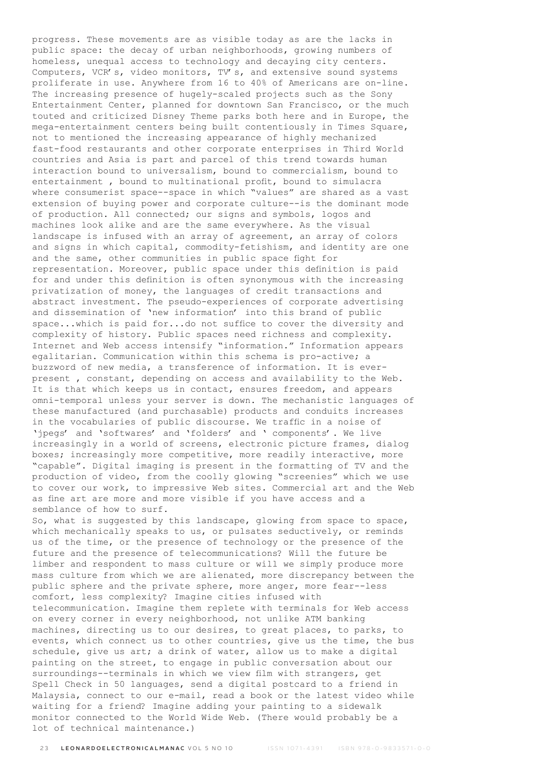progress. These movements are as visible today as are the lacks in public space: the decay of urban neighborhoods, growing numbers of homeless, unequal access to technology and decaying city centers. Computers, VCR's, video monitors, TV's, and extensive sound systems proliferate in use. Anywhere from 16 to 40% of Americans are on-line. The increasing presence of hugely-scaled projects such as the Sony Entertainment Center, planned for downtown San Francisco, or the much touted and criticized Disney Theme parks both here and in Europe, the mega-entertainment centers being built contentiously in Times Square, not to mentioned the increasing appearance of highly mechanized fast-food restaurants and other corporate enterprises in Third World countries and Asia is part and parcel of this trend towards human interaction bound to universalism, bound to commercialism, bound to entertainment , bound to multinational profit, bound to simulacra where consumerist space--space in which "values" are shared as a vast extension of buying power and corporate culture--is the dominant mode of production. All connected; our signs and symbols, logos and machines look alike and are the same everywhere. As the visual landscape is infused with an array of agreement, an array of colors and signs in which capital, commodity-fetishism, and identity are one and the same, other communities in public space fight for representation. Moreover, public space under this definition is paid for and under this definition is often synonymous with the increasing privatization of money, the languages of credit transactions and abstract investment. The pseudo-experiences of corporate advertising and dissemination of 'new information' into this brand of public space...which is paid for...do not suffice to cover the diversity and complexity of history. Public spaces need richness and complexity. Internet and Web access intensify "information." Information appears egalitarian. Communication within this schema is pro-active; a buzzword of new media, a transference of information. It is everpresent , constant, depending on access and availability to the Web. It is that which keeps us in contact, ensures freedom, and appears omni-temporal unless your server is down. The mechanistic languages of these manufactured (and purchasable) products and conduits increases in the vocabularies of public discourse. We traffic in a noise of 'jpegs' and 'softwares' and 'folders' and ' components'. We live increasingly in a world of screens, electronic picture frames, dialog boxes; increasingly more competitive, more readily interactive, more "capable". Digital imaging is present in the formatting of TV and the production of video, from the coolly glowing "screenies" which we use to cover our work, to impressive Web sites. Commercial art and the Web as fine art are more and more visible if you have access and a semblance of how to surf.

So, what is suggested by this landscape, glowing from space to space, which mechanically speaks to us, or pulsates seductively, or reminds us of the time, or the presence of technology or the presence of the future and the presence of telecommunications? Will the future be limber and respondent to mass culture or will we simply produce more mass culture from which we are alienated, more discrepancy between the public sphere and the private sphere, more anger, more fear--less comfort, less complexity? Imagine cities infused with telecommunication. Imagine them replete with terminals for Web access on every corner in every neighborhood, not unlike ATM banking machines, directing us to our desires, to great places, to parks, to events, which connect us to other countries, give us the time, the bus schedule, give us art; a drink of water, allow us to make a digital painting on the street, to engage in public conversation about our surroundings--terminals in which we view film with strangers, get Spell Check in 50 languages, send a digital postcard to a friend in Malaysia, connect to our e-mail, read a book or the latest video while waiting for a friend? Imagine adding your painting to a sidewalk monitor connected to the World Wide Web. (There would probably be a lot of technical maintenance.)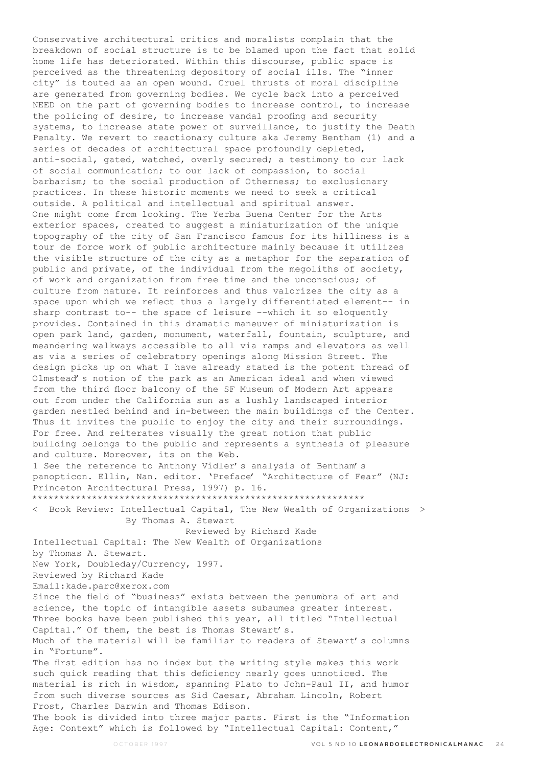Conservative architectural critics and moralists complain that the breakdown of social structure is to be blamed upon the fact that solid home life has deteriorated. Within this discourse, public space is perceived as the threatening depository of social ills. The "inner city" is touted as an open wound. Cruel thrusts of moral discipline are generated from governing bodies. We cycle back into a perceived NEED on the part of governing bodies to increase control, to increase the policing of desire, to increase vandal proofing and security systems, to increase state power of surveillance, to justify the Death Penalty. We revert to reactionary culture aka Jeremy Bentham (1) and a series of decades of architectural space profoundly depleted, anti-social, gated, watched, overly secured; a testimony to our lack of social communication; to our lack of compassion, to social barbarism; to the social production of Otherness; to exclusionary practices. In these historic moments we need to seek a critical outside. A political and intellectual and spiritual answer. One might come from looking. The Yerba Buena Center for the Arts exterior spaces, created to suggest a miniaturization of the unique topography of the city of San Francisco famous for its hilliness is a tour de force work of public architecture mainly because it utilizes the visible structure of the city as a metaphor for the separation of public and private, of the individual from the megoliths of society, of work and organization from free time and the unconscious; of culture from nature. It reinforces and thus valorizes the city as a space upon which we reflect thus a largely differentiated element-- in sharp contrast to-- the space of leisure --which it so eloquently provides. Contained in this dramatic maneuver of miniaturization is open park land, garden, monument, waterfall, fountain, sculpture, and meandering walkways accessible to all via ramps and elevators as well as via a series of celebratory openings along Mission Street. The design picks up on what I have already stated is the potent thread of Olmstead's notion of the park as an American ideal and when viewed from the third floor balcony of the SF Museum of Modern Art appears out from under the California sun as a lushly landscaped interior garden nestled behind and in-between the main buildings of the Center. Thus it invites the public to enjoy the city and their surroundings. For free. And reiterates visually the great notion that public building belongs to the public and represents a synthesis of pleasure and culture. Moreover, its on the Web. 1 See the reference to Anthony Vidler's analysis of Bentham's panopticon. Ellin, Nan. editor. 'Preface' "Architecture of Fear" (NJ: Princeton Architectural Press, 1997) p. 16. \*\*\*\*\*\*\*\*\*\*\*\*\*\*\*\*\*\*\*\*\*\*\*\*\*\*\*\*\*\*\*\*\*\*\*\*\*\*\*\*\*\*\*\*\*\*\*\*\*\*\*\*\*\*\*\*\*\*\*\*\* < Book Review: Intellectual Capital, The New Wealth of Organizations > By Thomas A. Stewart Reviewed by Richard Kade Intellectual Capital: The New Wealth of Organizations by Thomas A. Stewart. New York, Doubleday/Currency, 1997. Reviewed by Richard Kade Email:kade.parc@xerox.com Since the field of "business" exists between the penumbra of art and science, the topic of intangible assets subsumes greater interest. Three books have been published this year, all titled "Intellectual Capital." Of them, the best is Thomas Stewart's. Much of the material will be familiar to readers of Stewart's columns in "Fortune". The first edition has no index but the writing style makes this work such quick reading that this deficiency nearly goes unnoticed. The material is rich in wisdom, spanning Plato to John-Paul II, and humor from such diverse sources as Sid Caesar, Abraham Lincoln, Robert Frost, Charles Darwin and Thomas Edison. The book is divided into three major parts. First is the "Information Age: Context" which is followed by "Intellectual Capital: Content,"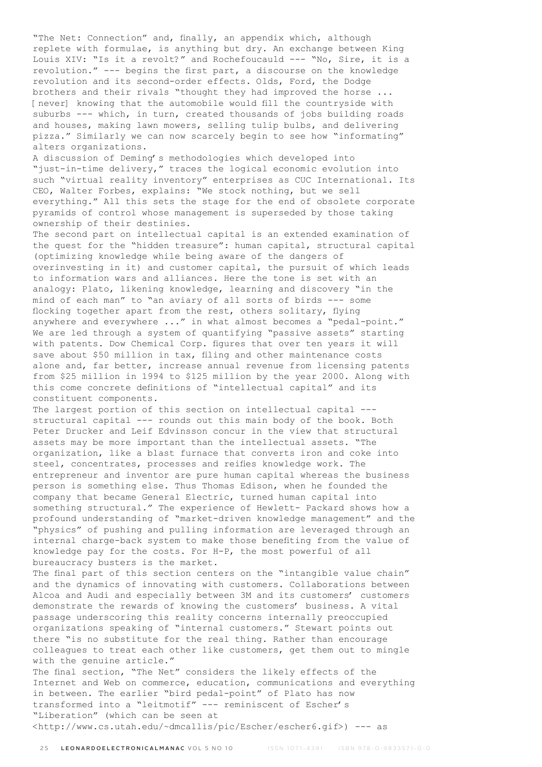"The Net: Connection" and, finally, an appendix which, although replete with formulae, is anything but dry. An exchange between King Louis XIV: "Is it a revolt?" and Rochefoucauld --- "No, Sire, it is a revolution." --- begins the first part, a discourse on the knowledge revolution and its second-order effects. Olds, Ford, the Dodge brothers and their rivals "thought they had improved the horse ... [never] knowing that the automobile would fill the countryside with suburbs --- which, in turn, created thousands of jobs building roads and houses, making lawn mowers, selling tulip bulbs, and delivering pizza." Similarly we can now scarcely begin to see how "informating" alters organizations.

A discussion of Deming's methodologies which developed into "just-in-time delivery," traces the logical economic evolution into such "virtual reality inventory" enterprises as CUC International. Its CEO, Walter Forbes, explains: "We stock nothing, but we sell everything." All this sets the stage for the end of obsolete corporate pyramids of control whose management is superseded by those taking ownership of their destinies.

The second part on intellectual capital is an extended examination of the quest for the "hidden treasure": human capital, structural capital (optimizing knowledge while being aware of the dangers of overinvesting in it) and customer capital, the pursuit of which leads to information wars and alliances. Here the tone is set with an analogy: Plato, likening knowledge, learning and discovery "in the mind of each man" to "an aviary of all sorts of birds --- some flocking together apart from the rest, others solitary, flying anywhere and everywhere ..." in what almost becomes a "pedal-point." We are led through a system of quantifying "passive assets" starting with patents. Dow Chemical Corp. figures that over ten years it will save about \$50 million in tax, filing and other maintenance costs alone and, far better, increase annual revenue from licensing patents from \$25 million in 1994 to \$125 million by the year 2000. Along with this come concrete definitions of "intellectual capital" and its constituent components.

The largest portion of this section on intellectual capital -- structural capital --- rounds out this main body of the book. Both Peter Drucker and Leif Edvinsson concur in the view that structural assets may be more important than the intellectual assets. "The organization, like a blast furnace that converts iron and coke into steel, concentrates, processes and reifies knowledge work. The entrepreneur and inventor are pure human capital whereas the business person is something else. Thus Thomas Edison, when he founded the company that became General Electric, turned human capital into something structural." The experience of Hewlett- Packard shows how a profound understanding of "market-driven knowledge management" and the "physics" of pushing and pulling information are leveraged through an internal charge-back system to make those benefiting from the value of knowledge pay for the costs. For H-P, the most powerful of all bureaucracy busters is the market.

The final part of this section centers on the "intangible value chain" and the dynamics of innovating with customers. Collaborations between Alcoa and Audi and especially between 3M and its customers' customers demonstrate the rewards of knowing the customers' business. A vital passage underscoring this reality concerns internally preoccupied organizations speaking of "internal customers." Stewart points out there "is no substitute for the real thing. Rather than encourage colleagues to treat each other like customers, get them out to mingle with the genuine article."

The final section, "The Net" considers the likely effects of the Internet and Web on commerce, education, communications and everything in between. The earlier "bird pedal-point" of Plato has now transformed into a "leitmotif" --- reminiscent of Escher's "Liberation" (which can be seen at <http://www.cs.utah.edu/~dmcallis/pic/Escher/escher6.gif>) --- as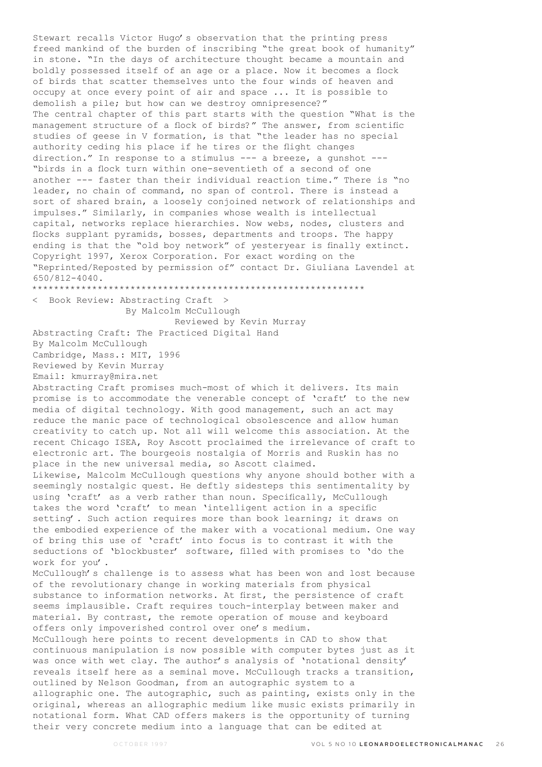Stewart recalls Victor Hugo's observation that the printing press freed mankind of the burden of inscribing "the great book of humanity" in stone. "In the days of architecture thought became a mountain and boldly possessed itself of an age or a place. Now it becomes a flock of birds that scatter themselves unto the four winds of heaven and occupy at once every point of air and space ... It is possible to demolish a pile; but how can we destroy omnipresence?" The central chapter of this part starts with the question "What is the management structure of a flock of birds?" The answer, from scientific studies of geese in V formation, is that "the leader has no special authority ceding his place if he tires or the flight changes direction." In response to a stimulus --- a breeze, a gunshot --- "birds in a flock turn within one-seventieth of a second of one another --- faster than their individual reaction time." There is "no leader, no chain of command, no span of control. There is instead a sort of shared brain, a loosely conjoined network of relationships and impulses." Similarly, in companies whose wealth is intellectual capital, networks replace hierarchies. Now webs, nodes, clusters and flocks supplant pyramids, bosses, departments and troops. The happy ending is that the "old boy network" of yesteryear is finally extinct. Copyright 1997, Xerox Corporation. For exact wording on the "Reprinted/Reposted by permission of" contact Dr. Giuliana Lavendel at 650/812-4040. \*\*\*\*\*\*\*\*\*\*\*\*\*\*\*\*\*\*\*\*\*\*\*\*\*\*\*\*\*\*\*\*\*\*\*\*\*\*\*\*\*\*\*\*\*\*\*\*\*\*\*\*\*\*\*\*\*\*\*\*\* < Book Review: Abstracting Craft > By Malcolm McCullough Reviewed by Kevin Murray

Abstracting Craft: The Practiced Digital Hand By Malcolm McCullough Cambridge, Mass.: MIT, 1996 Reviewed by Kevin Murray

Email: kmurray@mira.net

Abstracting Craft promises much-most of which it delivers. Its main promise is to accommodate the venerable concept of 'craft' to the new media of digital technology. With good management, such an act may reduce the manic pace of technological obsolescence and allow human creativity to catch up. Not all will welcome this association. At the recent Chicago ISEA, Roy Ascott proclaimed the irrelevance of craft to electronic art. The bourgeois nostalgia of Morris and Ruskin has no place in the new universal media, so Ascott claimed. Likewise, Malcolm McCullough questions why anyone should bother with a seemingly nostalgic quest. He deftly sidesteps this sentimentality by using 'craft' as a verb rather than noun. Specifically, McCullough takes the word 'craft' to mean 'intelligent action in a specific

setting'. Such action requires more than book learning; it draws on the embodied experience of the maker with a vocational medium. One way of bring this use of 'craft' into focus is to contrast it with the seductions of 'blockbuster' software, filled with promises to 'do the work for you'.

McCullough's challenge is to assess what has been won and lost because of the revolutionary change in working materials from physical substance to information networks. At first, the persistence of craft seems implausible. Craft requires touch-interplay between maker and material. By contrast, the remote operation of mouse and keyboard offers only impoverished control over one's medium. McCullough here points to recent developments in CAD to show that

continuous manipulation is now possible with computer bytes just as it was once with wet clay. The author's analysis of 'notational density' reveals itself here as a seminal move. McCullough tracks a transition, outlined by Nelson Goodman, from an autographic system to a allographic one. The autographic, such as painting, exists only in the original, whereas an allographic medium like music exists primarily in notational form. What CAD offers makers is the opportunity of turning their very concrete medium into a language that can be edited at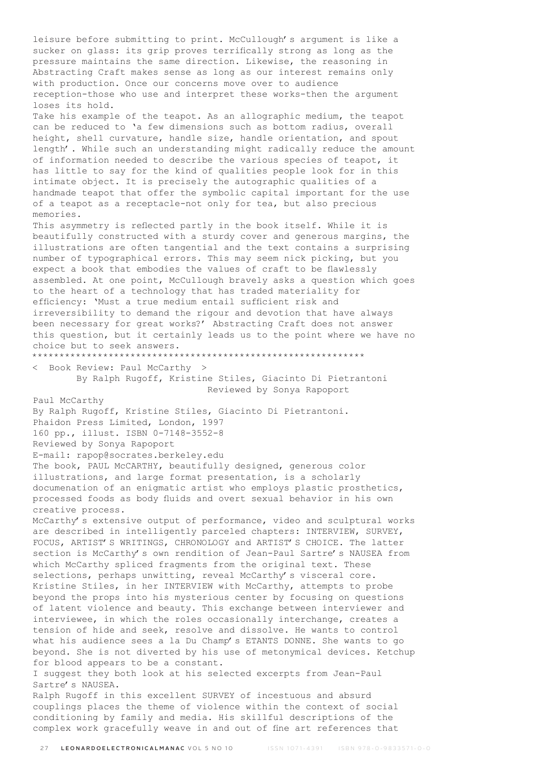leisure before submitting to print. McCullough's argument is like a sucker on glass: its grip proves terrifically strong as long as the pressure maintains the same direction. Likewise, the reasoning in Abstracting Craft makes sense as long as our interest remains only with production. Once our concerns move over to audience reception-those who use and interpret these works-then the argument loses its hold. Take his example of the teapot. As an allographic medium, the teapot can be reduced to 'a few dimensions such as bottom radius, overall height, shell curvature, handle size, handle orientation, and spout length'. While such an understanding might radically reduce the amount of information needed to describe the various species of teapot, it has little to say for the kind of qualities people look for in this intimate object. It is precisely the autographic qualities of a handmade teapot that offer the symbolic capital important for the use of a teapot as a receptacle-not only for tea, but also precious memories. This asymmetry is reflected partly in the book itself. While it is beautifully constructed with a sturdy cover and generous margins, the illustrations are often tangential and the text contains a surprising number of typographical errors. This may seem nick picking, but you expect a book that embodies the values of craft to be flawlessly assembled. At one point, McCullough bravely asks a question which goes to the heart of a technology that has traded materiality for efficiency: 'Must a true medium entail sufficient risk and irreversibility to demand the rigour and devotion that have always been necessary for great works?' Abstracting Craft does not answer this question, but it certainly leads us to the point where we have no choice but to seek answers. \*\*\*\*\*\*\*\*\*\*\*\*\*\*\*\*\*\*\*\*\*\*\*\*\*\*\*\*\*\*\*\*\*\*\*\*\*\*\*\*\*\*\*\*\*\*\*\*\*\*\*\*\*\*\*\*\*\*\*\*\* < Book Review: Paul McCarthy > By Ralph Rugoff, Kristine Stiles, Giacinto Di Pietrantoni Reviewed by Sonya Rapoport Paul McCarthy By Ralph Rugoff, Kristine Stiles, Giacinto Di Pietrantoni. Phaidon Press Limited, London, 1997 160 pp., illust. ISBN 0-7148-3552-8 Reviewed by Sonya Rapoport E-mail: rapop@socrates.berkeley.edu The book, PAUL McCARTHY, beautifully designed, generous color illustrations, and large format presentation, is a scholarly documenation of an enigmatic artist who employs plastic prosthetics, processed foods as body fluids and overt sexual behavior in his own creative process. McCarthy's extensive output of performance, video and sculptural works are described in intelligently parceled chapters: INTERVIEW, SURVEY, FOCUS, ARTIST'S WRITINGS, CHRONOLOGY and ARTIST'S CHOICE. The latter section is McCarthy's own rendition of Jean-Paul Sartre's NAUSEA from which McCarthy spliced fragments from the original text. These selections, perhaps unwitting, reveal McCarthy's visceral core. Kristine Stiles, in her INTERVIEW with McCarthy, attempts to probe beyond the props into his mysterious center by focusing on questions of latent violence and beauty. This exchange between interviewer and interviewee, in which the roles occasionally interchange, creates a tension of hide and seek, resolve and dissolve. He wants to control what his audience sees a la Du Champ's ETANTS DONNE. She wants to go beyond. She is not diverted by his use of metonymical devices. Ketchup for blood appears to be a constant. I suggest they both look at his selected excerpts from Jean-Paul Sartre's NAUSEA. Ralph Rugoff in this excellent SURVEY of incestuous and absurd couplings places the theme of violence within the context of social

conditioning by family and media. His skillful descriptions of the complex work gracefully weave in and out of fine art references that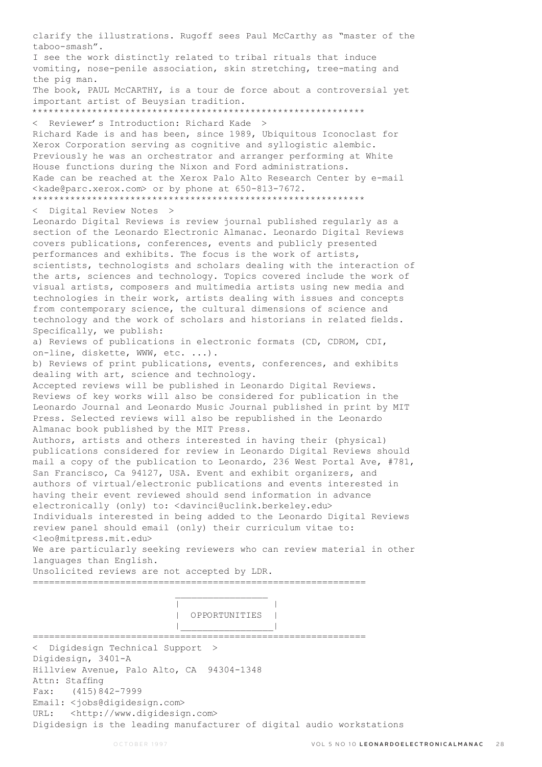clarify the illustrations. Rugoff sees Paul McCarthy as "master of the taboo-smash". I see the work distinctly related to tribal rituals that induce vomiting, nose-penile association, skin stretching, tree-mating and the pig man. The book, PAUL McCARTHY, is a tour de force about a controversial yet important artist of Beuysian tradition. \*\*\*\*\*\*\*\*\*\*\*\*\*\*\*\*\*\*\*\*\*\*\*\*\*\*\*\*\*\*\*\*\*\*\*\*\*\*\*\*\*\*\*\*\*\*\*\*\*\*\*\*\*\*\*\*\*\*\*\*\* < Reviewer's Introduction: Richard Kade > Richard Kade is and has been, since 1989, Ubiquitous Iconoclast for Xerox Corporation serving as cognitive and syllogistic alembic. Previously he was an orchestrator and arranger performing at White House functions during the Nixon and Ford administrations. Kade can be reached at the Xerox Palo Alto Research Center by e-mail <kade@parc.xerox.com> or by phone at 650-813-7672. \*\*\*\*\*\*\*\*\*\*\*\*\*\*\*\*\*\*\*\*\*\*\*\*\*\*\*\*\*\*\*\*\*\*\*\*\*\*\*\*\*\*\*\*\*\*\*\*\*\*\*\*\*\*\*\*\*\*\*\*\* < Digital Review Notes > Leonardo Digital Reviews is review journal published regularly as a section of the Leonardo Electronic Almanac. Leonardo Digital Reviews covers publications, conferences, events and publicly presented performances and exhibits. The focus is the work of artists, scientists, technologists and scholars dealing with the interaction of the arts, sciences and technology. Topics covered include the work of visual artists, composers and multimedia artists using new media and technologies in their work, artists dealing with issues and concepts from contemporary science, the cultural dimensions of science and technology and the work of scholars and historians in related fields. Specifically, we publish: a) Reviews of publications in electronic formats (CD, CDROM, CDI, on-line, diskette, WWW, etc. ...). b) Reviews of print publications, events, conferences, and exhibits dealing with art, science and technology. Accepted reviews will be published in Leonardo Digital Reviews. Reviews of key works will also be considered for publication in the Leonardo Journal and Leonardo Music Journal published in print by MIT Press. Selected reviews will also be republished in the Leonardo Almanac book published by the MIT Press. Authors, artists and others interested in having their (physical) publications considered for review in Leonardo Digital Reviews should mail a copy of the publication to Leonardo, 236 West Portal Ave, #781, San Francisco, Ca 94127, USA. Event and exhibit organizers, and authors of virtual/electronic publications and events interested in having their event reviewed should send information in advance electronically (only) to: <davinci@uclink.berkeley.edu> Individuals interested in being added to the Leonardo Digital Reviews review panel should email (only) their curriculum vitae to: <leo@mitpress.mit.edu> We are particularly seeking reviewers who can review material in other languages than English. Unsolicited reviews are not accepted by LDR. ============================================================= | | | OPPORTUNITIES | |\_\_\_\_\_\_\_\_\_\_\_\_\_\_\_\_\_| ============================================================= < Digidesign Technical Support > Digidesign, 3401-A Hillview Avenue, Palo Alto, CA 94304-1348 Attn: Staffing Fax: (415)842-7999 Email: <jobs@digidesign.com> URL: <http://www.digidesign.com> Digidesign is the leading manufacturer of digital audio workstations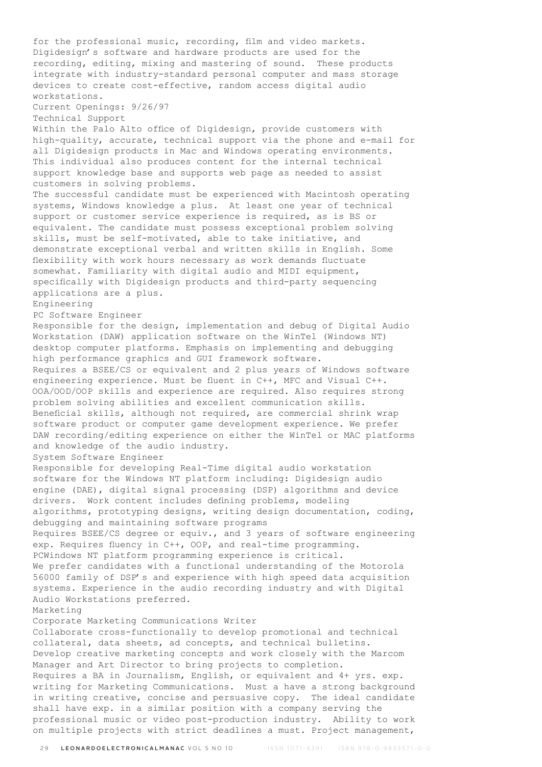for the professional music, recording, film and video markets. Digidesign's software and hardware products are used for the recording, editing, mixing and mastering of sound. These products integrate with industry-standard personal computer and mass storage devices to create cost-effective, random access digital audio workstations. Current Openings: 9/26/97 Technical Support Within the Palo Alto office of Digidesign, provide customers with high-quality, accurate, technical support via the phone and e-mail for all Digidesign products in Mac and Windows operating environments. This individual also produces content for the internal technical support knowledge base and supports web page as needed to assist customers in solving problems. The successful candidate must be experienced with Macintosh operating systems, Windows knowledge a plus. At least one year of technical support or customer service experience is required, as is BS or equivalent. The candidate must possess exceptional problem solving skills, must be self-motivated, able to take initiative, and demonstrate exceptional verbal and written skills in English. Some flexibility with work hours necessary as work demands fluctuate somewhat. Familiarity with digital audio and MIDI equipment, specifically with Digidesign products and third-party sequencing applications are a plus. Engineering PC Software Engineer Responsible for the design, implementation and debug of Digital Audio Workstation (DAW) application software on the WinTel (Windows NT) desktop computer platforms. Emphasis on implementing and debugging high performance graphics and GUI framework software. Requires a BSEE/CS or equivalent and 2 plus years of Windows software engineering experience. Must be fluent in C++, MFC and Visual C++. OOA/OOD/OOP skills and experience are required. Also requires strong problem solving abilities and excellent communication skills. Beneficial skills, although not required, are commercial shrink wrap software product or computer game development experience. We prefer DAW recording/editing experience on either the WinTel or MAC platforms and knowledge of the audio industry. System Software Engineer Responsible for developing Real-Time digital audio workstation software for the Windows NT platform including: Digidesign audio engine (DAE), digital signal processing (DSP) algorithms and device drivers. Work content includes defining problems, modeling algorithms, prototyping designs, writing design documentation, coding, debugging and maintaining software programs Requires BSEE/CS degree or equiv., and 3 years of software engineering exp. Requires fluency in C++, OOP, and real-time programming. PCWindows NT platform programming experience is critical. We prefer candidates with a functional understanding of the Motorola 56000 family of DSP's and experience with high speed data acquisition systems. Experience in the audio recording industry and with Digital Audio Workstations preferred. Marketing Corporate Marketing Communications Writer Collaborate cross-functionally to develop promotional and technical collateral, data sheets, ad concepts, and technical bulletins. Develop creative marketing concepts and work closely with the Marcom Manager and Art Director to bring projects to completion. Requires a BA in Journalism, English, or equivalent and 4+ yrs. exp. writing for Marketing Communications. Must a have a strong background in writing creative, concise and persuasive copy. The ideal candidate shall have exp. in a similar position with a company serving the professional music or video post-production industry. Ability to work on multiple projects with strict deadlines a must. Project management,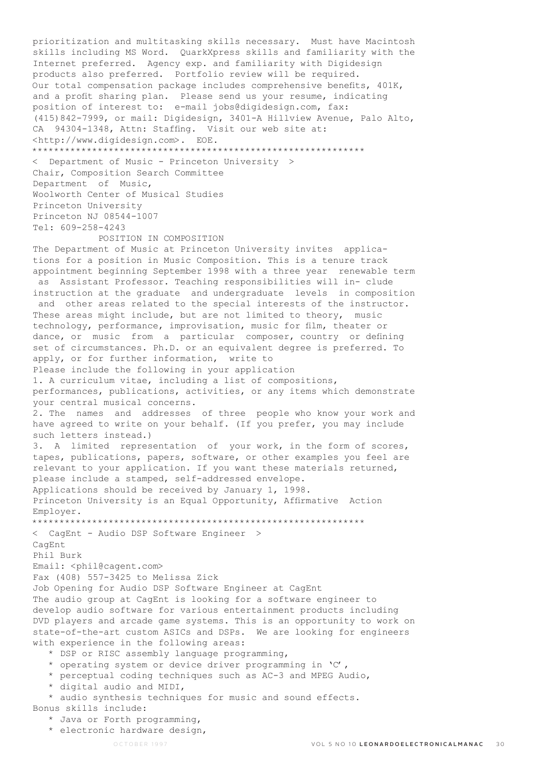prioritization and multitasking skills necessary. Must have Macintosh skills including MS Word. QuarkXpress skills and familiarity with the Internet preferred. Agency exp. and familiarity with Digidesign products also preferred. Portfolio review will be required. Our total compensation package includes comprehensive benefits, 401K, and a profit sharing plan. Please send us your resume, indicating position of interest to: e-mail jobs@digidesign.com, fax: (415)842-7999, or mail: Digidesign, 3401-A Hillview Avenue, Palo Alto, CA 94304-1348, Attn: Staffing. Visit our web site at: <http://www.digidesign.com>. EOE. \*\*\*\*\*\*\*\*\*\*\*\*\*\*\*\*\*\*\*\*\*\*\*\*\*\*\*\*\*\*\*\*\*\*\*\*\*\*\*\*\*\*\*\*\*\*\*\*\*\*\*\*\*\*\*\*\*\*\*\*\* < Department of Music - Princeton University > Chair, Composition Search Committee Department of Music, Woolworth Center of Musical Studies Princeton University Princeton NJ 08544-1007 Tel: 609-258-4243 POSITION IN COMPOSITION The Department of Music at Princeton University invites applications for a position in Music Composition. This is a tenure track appointment beginning September 1998 with a three year renewable term as Assistant Professor. Teaching responsibilities will in- clude instruction at the graduate and undergraduate levels in composition and other areas related to the special interests of the instructor. These areas might include, but are not limited to theory, music technology, performance, improvisation, music for film, theater or dance, or music from a particular composer, country or defining set of circumstances. Ph.D. or an equivalent degree is preferred. To apply, or for further information, write to Please include the following in your application 1. A curriculum vitae, including a list of compositions, performances, publications, activities, or any items which demonstrate your central musical concerns. 2. The names and addresses of three people who know your work and have agreed to write on your behalf. (If you prefer, you may include such letters instead.) 3. A limited representation of your work, in the form of scores, tapes, publications, papers, software, or other examples you feel are relevant to your application. If you want these materials returned, please include a stamped, self-addressed envelope. Applications should be received by January 1, 1998. Princeton University is an Equal Opportunity, Affirmative Action Employer. \*\*\*\*\*\*\*\*\*\*\*\*\*\*\*\*\*\*\*\*\*\*\*\*\*\*\*\*\*\*\*\*\*\*\*\*\*\*\*\*\*\*\*\*\*\*\*\*\*\*\*\*\*\*\*\*\*\*\*\*\* < CagEnt - Audio DSP Software Engineer > CagEnt Phil Burk Email: <phil@cagent.com> Fax (408) 557-3425 to Melissa Zick Job Opening for Audio DSP Software Engineer at CagEnt The audio group at CagEnt is looking for a software engineer to develop audio software for various entertainment products including DVD players and arcade game systems. This is an opportunity to work on state-of-the-art custom ASICs and DSPs. We are looking for engineers with experience in the following areas: \* DSP or RISC assembly language programming, \* operating system or device driver programming in 'C', \* perceptual coding techniques such as AC-3 and MPEG Audio, \* digital audio and MIDI, \* audio synthesis techniques for music and sound effects. Bonus skills include:

- \* Java or Forth programming,
- \* electronic hardware design,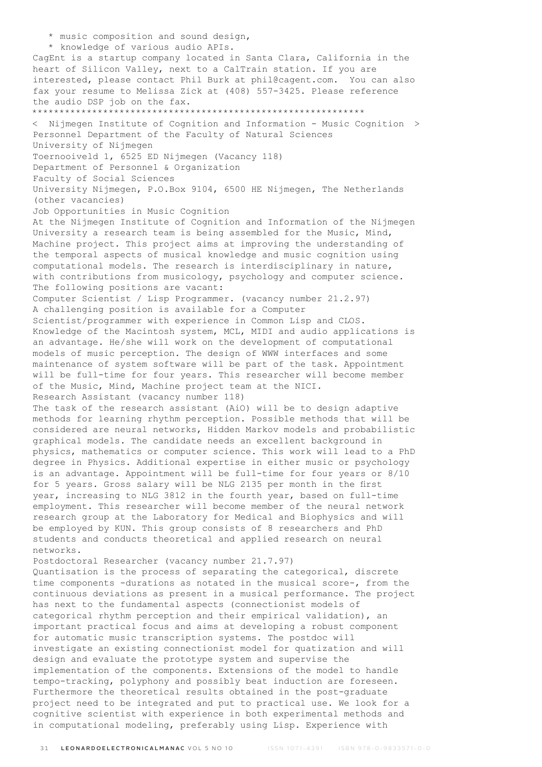\* music composition and sound design, \* knowledge of various audio APIs. CagEnt is a startup company located in Santa Clara, California in the heart of Silicon Valley, next to a CalTrain station. If you are interested, please contact Phil Burk at phil@cagent.com. You can also fax your resume to Melissa Zick at (408) 557-3425. Please reference the audio DSP job on the fax. \*\*\*\*\*\*\*\*\*\*\*\*\*\*\*\*\*\*\*\*\*\*\*\*\*\*\*\*\*\*\*\*\*\*\*\*\*\*\*\*\*\*\*\*\*\*\*\*\*\*\*\*\*\*\*\*\*\*\*\*\* < Nijmegen Institute of Cognition and Information - Music Cognition > Personnel Department of the Faculty of Natural Sciences University of Nijmegen Toernooiveld 1, 6525 ED Nijmegen (Vacancy 118) Department of Personnel & Organization Faculty of Social Sciences University Nijmegen, P.O.Box 9104, 6500 HE Nijmegen, The Netherlands (other vacancies) Job Opportunities in Music Cognition At the Nijmegen Institute of Cognition and Information of the Nijmegen University a research team is being assembled for the Music, Mind, Machine project. This project aims at improving the understanding of the temporal aspects of musical knowledge and music cognition using computational models. The research is interdisciplinary in nature, with contributions from musicology, psychology and computer science. The following positions are vacant: Computer Scientist / Lisp Programmer. (vacancy number 21.2.97) A challenging position is available for a Computer Scientist/programmer with experience in Common Lisp and CLOS. Knowledge of the Macintosh system, MCL, MIDI and audio applications is an advantage. He/she will work on the development of computational models of music perception. The design of WWW interfaces and some maintenance of system software will be part of the task. Appointment will be full-time for four years. This researcher will become member of the Music, Mind, Machine project team at the NICI. Research Assistant (vacancy number 118) The task of the research assistant (AiO) will be to design adaptive methods for learning rhythm perception. Possible methods that will be considered are neural networks, Hidden Markov models and probabilistic graphical models. The candidate needs an excellent background in physics, mathematics or computer science. This work will lead to a PhD degree in Physics. Additional expertise in either music or psychology is an advantage. Appointment will be full-time for four years or 8/10 for 5 years. Gross salary will be NLG 2135 per month in the first year, increasing to NLG 3812 in the fourth year, based on full-time employment. This researcher will become member of the neural network research group at the Laboratory for Medical and Biophysics and will be employed by KUN. This group consists of 8 researchers and PhD students and conducts theoretical and applied research on neural networks. Postdoctoral Researcher (vacancy number 21.7.97) Quantisation is the process of separating the categorical, discrete time components -durations as notated in the musical score-, from the continuous deviations as present in a musical performance. The project has next to the fundamental aspects (connectionist models of categorical rhythm perception and their empirical validation), an important practical focus and aims at developing a robust component for automatic music transcription systems. The postdoc will investigate an existing connectionist model for quatization and will design and evaluate the prototype system and supervise the implementation of the components. Extensions of the model to handle tempo-tracking, polyphony and possibly beat induction are foreseen. Furthermore the theoretical results obtained in the post-graduate project need to be integrated and put to practical use. We look for a cognitive scientist with experience in both experimental methods and in computational modeling, preferably using Lisp. Experience with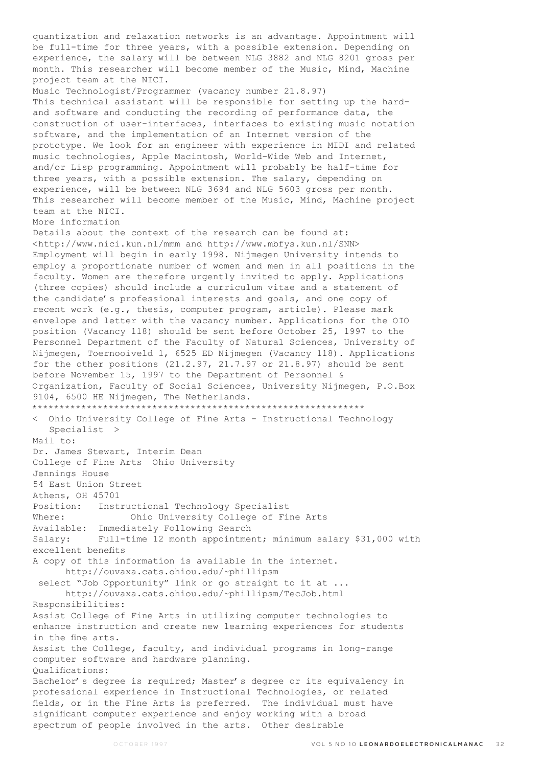quantization and relaxation networks is an advantage. Appointment will be full-time for three years, with a possible extension. Depending on experience, the salary will be between NLG 3882 and NLG 8201 gross per month. This researcher will become member of the Music, Mind, Machine project team at the NICI. Music Technologist/Programmer (vacancy number 21.8.97) This technical assistant will be responsible for setting up the hardand software and conducting the recording of performance data, the construction of user-interfaces, interfaces to existing music notation software, and the implementation of an Internet version of the prototype. We look for an engineer with experience in MIDI and related music technologies, Apple Macintosh, World-Wide Web and Internet, and/or Lisp programming. Appointment will probably be half-time for three years, with a possible extension. The salary, depending on experience, will be between NLG 3694 and NLG 5603 gross per month. This researcher will become member of the Music, Mind, Machine project team at the NICI. More information Details about the context of the research can be found at: <http://www.nici.kun.nl/mmm and http://www.mbfys.kun.nl/SNN> Employment will begin in early 1998. Nijmegen University intends to employ a proportionate number of women and men in all positions in the faculty. Women are therefore urgently invited to apply. Applications (three copies) should include a curriculum vitae and a statement of the candidate's professional interests and goals, and one copy of recent work (e.g., thesis, computer program, article). Please mark envelope and letter with the vacancy number. Applications for the OIO position (Vacancy 118) should be sent before October 25, 1997 to the Personnel Department of the Faculty of Natural Sciences, University of Nijmegen, Toernooiveld 1, 6525 ED Nijmegen (Vacancy 118). Applications for the other positions  $(21.2.97, 21.7.97$  or  $21.8.97)$  should be sent before November 15, 1997 to the Department of Personnel & Organization, Faculty of Social Sciences, University Nijmegen, P.O.Box 9104, 6500 HE Nijmegen, The Netherlands. \*\*\*\*\*\*\*\*\*\*\*\*\*\*\*\*\*\*\*\*\*\*\*\*\*\*\*\*\*\*\*\*\*\*\*\*\*\*\*\*\*\*\*\*\*\*\*\*\*\*\*\*\*\*\*\*\*\*\*\*\* < Ohio University College of Fine Arts - Instructional Technology Specialist > Mail to: Dr. James Stewart, Interim Dean College of Fine Arts Ohio University Jennings House 54 East Union Street Athens, OH 45701 Position: Instructional Technology Specialist Where: Ohio University College of Fine Arts Available: Immediately Following Search Salary: Full-time 12 month appointment; minimum salary \$31,000 with excellent benefits A copy of this information is available in the internet. http://ouvaxa.cats.ohiou.edu/~phillipsm select "Job Opportunity" link or go straight to it at ... http://ouvaxa.cats.ohiou.edu/~phillipsm/TecJob.html Responsibilities: Assist College of Fine Arts in utilizing computer technologies to enhance instruction and create new learning experiences for students in the fine arts. Assist the College, faculty, and individual programs in long-range computer software and hardware planning. Qualifications: Bachelor's degree is required; Master's degree or its equivalency in professional experience in Instructional Technologies, or related fields, or in the Fine Arts is preferred. The individual must have significant computer experience and enjoy working with a broad spectrum of people involved in the arts. Other desirable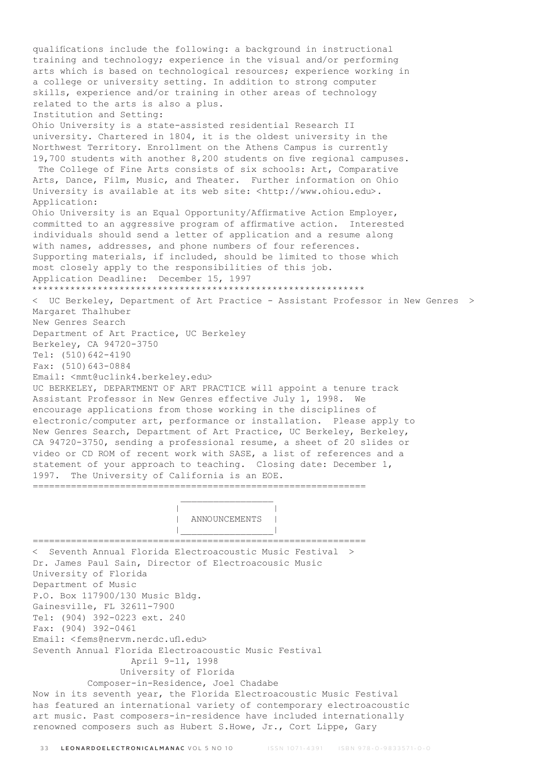qualifications include the following: a background in instructional training and technology; experience in the visual and/or performing arts which is based on technological resources; experience working in a college or university setting. In addition to strong computer skills, experience and/or training in other areas of technology related to the arts is also a plus. Institution and Setting: Ohio University is a state-assisted residential Research II university. Chartered in 1804, it is the oldest university in the Northwest Territory. Enrollment on the Athens Campus is currently 19,700 students with another 8,200 students on five regional campuses. The College of Fine Arts consists of six schools: Art, Comparative Arts, Dance, Film, Music, and Theater. Further information on Ohio University is available at its web site: <http://www.ohiou.edu>. Application: Ohio University is an Equal Opportunity/Affirmative Action Employer, committed to an aggressive program of affirmative action. Interested individuals should send a letter of application and a resume along with names, addresses, and phone numbers of four references. Supporting materials, if included, should be limited to those which most closely apply to the responsibilities of this job. Application Deadline: December 15, 1997 \*\*\*\*\*\*\*\*\*\*\*\*\*\*\*\*\*\*\*\*\*\*\*\*\*\*\*\*\*\*\*\*\*\*\*\*\*\*\*\*\*\*\*\*\*\*\*\*\*\*\*\*\*\*\*\*\*\*\*\*\* < UC Berkeley, Department of Art Practice - Assistant Professor in New Genres > Margaret Thalhuber New Genres Search Department of Art Practice, UC Berkeley Berkeley, CA 94720-3750 Tel: (510)642-4190 Fax: (510)643-0884 Email: <mmt@uclink4.berkeley.edu> UC BERKELEY, DEPARTMENT OF ART PRACTICE will appoint a tenure track Assistant Professor in New Genres effective July 1, 1998. We encourage applications from those working in the disciplines of electronic/computer art, performance or installation. Please apply to New Genres Search, Department of Art Practice, UC Berkeley, Berkeley, CA 94720-3750, sending a professional resume, a sheet of 20 slides or video or CD ROM of recent work with SASE, a list of references and a statement of your approach to teaching. Closing date: December 1, 1997. The University of California is an EOE. =============================================================  $\mathcal{L}_\mathcal{L}$  , which is a set of the set of the set of the set of the set of the set of the set of the set of the set of the set of the set of the set of the set of the set of the set of the set of the set of the set of | | | ANNOUNCEMENTS | |\_\_\_\_\_\_\_\_\_\_\_\_\_\_\_\_\_| ============================================================= < Seventh Annual Florida Electroacoustic Music Festival > Dr. James Paul Sain, Director of Electroacousic Music University of Florida Department of Music P.O. Box 117900/130 Music Bldg. Gainesville, FL 32611-7900 Tel: (904) 392-0223 ext. 240 Fax: (904) 392-0461 Email: <fems@nervm.nerdc.ufl.edu> Seventh Annual Florida Electroacoustic Music Festival April 9-11, 1998 University of Florida Composer-in-Residence, Joel Chadabe Now in its seventh year, the Florida Electroacoustic Music Festival has featured an international variety of contemporary electroacoustic art music. Past composers-in-residence have included internationally renowned composers such as Hubert S.Howe, Jr., Cort Lippe, Gary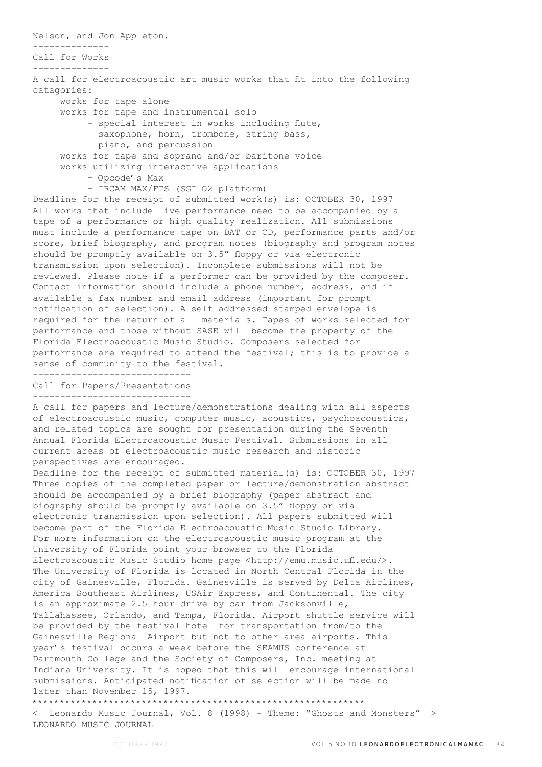Nelson, and Jon Appleton.

-------------- Call for Works

--------------

A call for electroacoustic art music works that fit into the following catagories:

works for tape alone

works for tape and instrumental solo

 - special interest in works including flute, saxophone, horn, trombone, string bass, piano, and percussion

 works for tape and soprano and/or baritone voice works utilizing interactive applications

- Opcode's Max

- IRCAM MAX/FTS (SGI O2 platform)

Deadline for the receipt of submitted work(s) is: OCTOBER 30, 1997 All works that include live performance need to be accompanied by a tape of a performance or high quality realization. All submissions must include a performance tape on DAT or CD, performance parts and/or score, brief biography, and program notes (biography and program notes should be promptly available on 3.5" floppy or via electronic transmission upon selection). Incomplete submissions will not be reviewed. Please note if a performer can be provided by the composer. Contact information should include a phone number, address, and if available a fax number and email address (important for prompt notification of selection). A self addressed stamped envelope is required for the return of all materials. Tapes of works selected for performance and those without SASE will become the property of the Florida Electroacoustic Music Studio. Composers selected for performance are required to attend the festival; this is to provide a sense of community to the festival.

----------------------------- Call for Papers/Presentations

-----------------------------

A call for papers and lecture/demonstrations dealing with all aspects of electroacoustic music, computer music, acoustics, psychoacoustics, and related topics are sought for presentation during the Seventh Annual Florida Electroacoustic Music Festival. Submissions in all current areas of electroacoustic music research and historic perspectives are encouraged.

Deadline for the receipt of submitted material(s) is: OCTOBER 30, 1997 Three copies of the completed paper or lecture/demonstration abstract should be accompanied by a brief biography (paper abstract and biography should be promptly available on 3.5" floppy or via electronic transmission upon selection). All papers submitted will become part of the Florida Electroacoustic Music Studio Library. For more information on the electroacoustic music program at the University of Florida point your browser to the Florida Electroacoustic Music Studio home page <http://emu.music.ufl.edu/>. The University of Florida is located in North Central Florida in the city of Gainesville, Florida. Gainesville is served by Delta Airlines, America Southeast Airlines, USAir Express, and Continental. The city is an approximate 2.5 hour drive by car from Jacksonville, Tallahassee, Orlando, and Tampa, Florida. Airport shuttle service will be provided by the festival hotel for transportation from/to the Gainesville Regional Airport but not to other area airports. This year's festival occurs a week before the SEAMUS conference at Dartmouth College and the Society of Composers, Inc. meeting at Indiana University. It is hoped that this will encourage international submissions. Anticipated notification of selection will be made no later than November 15, 1997. \*\*\*\*\*\*\*\*\*\*\*\*\*\*\*\*\*\*\*\*\*\*\*\*\*\*\*\*\*\*\*\*\*\*\*\*\*\*\*\*\*\*\*\*\*\*\*\*\*\*\*\*\*\*\*\*\*\*\*\*\*

Leonardo Music Journal, Vol. 8 (1998) - Theme: "Ghosts and Monsters" > LEONARDO MUSIC JOURNAL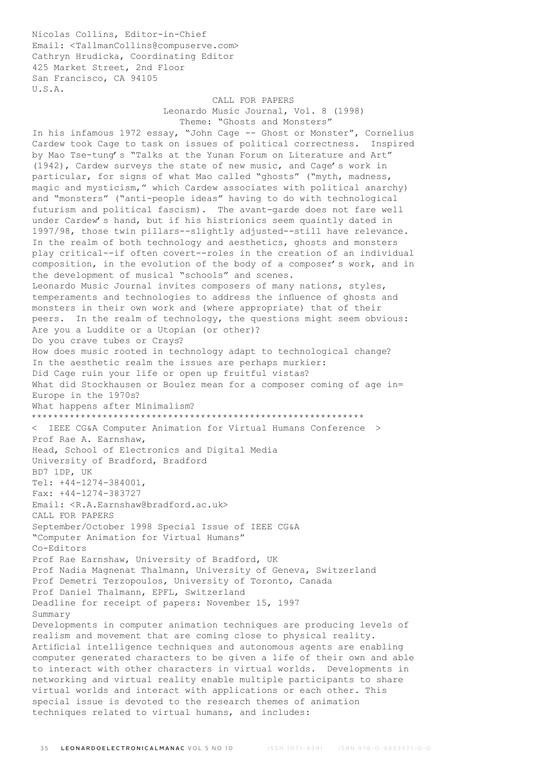Nicolas Collins, Editor-in-Chief Email: <TallmanCollins@compuserve.com> Cathryn Hrudicka, Coordinating Editor 425 Market Street, 2nd Floor San Francisco, CA 94105 U.S.A.

## CALL FOR PAPERS

 Leonardo Music Journal, Vol. 8 (1998) Theme: "Ghosts and Monsters"

In his infamous 1972 essay, "John Cage -- Ghost or Monster", Cornelius Cardew took Cage to task on issues of political correctness. Inspired by Mao Tse-tung's "Talks at the Yunan Forum on Literature and Art" (1942), Cardew surveys the state of new music, and Cage's work in particular, for signs of what Mao called "ghosts" ("myth, madness, magic and mysticism," which Cardew associates with political anarchy) and "monsters" ("anti-people ideas" having to do with technological futurism and political fascism). The avant-garde does not fare well under Cardew's hand, but if his histrionics seem quaintly dated in 1997/98, those twin pillars--slightly adjusted--still have relevance. In the realm of both technology and aesthetics, ghosts and monsters play critical--if often covert--roles in the creation of an individual composition, in the evolution of the body of a composer's work, and in the development of musical "schools" and scenes. Leonardo Music Journal invites composers of many nations, styles, temperaments and technologies to address the influence of ghosts and monsters in their own work and (where appropriate) that of their peers. In the realm of technology, the questions might seem obvious: Are you a Luddite or a Utopian (or other)? Do you crave tubes or Crays? How does music rooted in technology adapt to technological change? In the aesthetic realm the issues are perhaps murkier: Did Cage ruin your life or open up fruitful vistas? What did Stockhausen or Boulez mean for a composer coming of age in= Europe in the 1970s? What happens after Minimalism? \*\*\*\*\*\*\*\*\*\*\*\*\*\*\*\*\*\*\*\*\*\*\*\*\*\*\*\*\*\*\*\*\*\*\*\*\*\*\*\*\*\*\*\*\*\*\*\*\*\*\*\*\*\*\*\*\*\*\*\*\* < IEEE CG&A Computer Animation for Virtual Humans Conference > Prof Rae A. Earnshaw, Head, School of Electronics and Digital Media University of Bradford, Bradford BD7 1DP, UK Tel: +44-1274-384001, Fax: +44-1274-383727 Email: <R.A.Earnshaw@bradford.ac.uk> CALL FOR PAPERS September/October 1998 Special Issue of IEEE CG&A "Computer Animation for Virtual Humans" Co-Editors Prof Rae Earnshaw, University of Bradford, UK Prof Nadia Magnenat Thalmann, University of Geneva, Switzerland Prof Demetri Terzopoulos, University of Toronto, Canada Prof Daniel Thalmann, EPFL, Switzerland Deadline for receipt of papers: November 15, 1997 Summary Developments in computer animation techniques are producing levels of realism and movement that are coming close to physical reality. Artificial intelligence techniques and autonomous agents are enabling computer generated characters to be given a life of their own and able to interact with other characters in virtual worlds. Developments in networking and virtual reality enable multiple participants to share virtual worlds and interact with applications or each other. This special issue is devoted to the research themes of animation techniques related to virtual humans, and includes: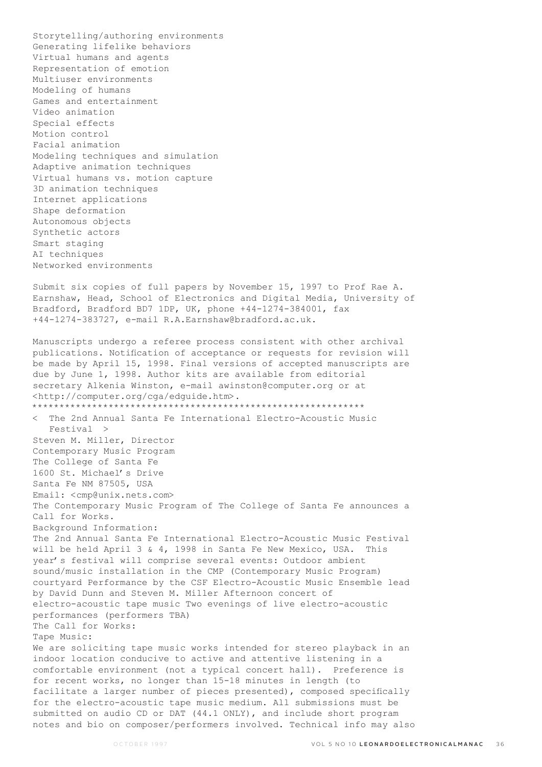Storytelling/authoring environments Generating lifelike behaviors Virtual humans and agents Representation of emotion Multiuser environments Modeling of humans Games and entertainment Video animation Special effects Motion control Facial animation Modeling techniques and simulation Adaptive animation techniques Virtual humans vs. motion capture 3D animation techniques Internet applications Shape deformation Autonomous objects Synthetic actors Smart staging AI techniques Networked environments Submit six copies of full papers by November 15, 1997 to Prof Rae A.

Earnshaw, Head, School of Electronics and Digital Media, University of Bradford, Bradford BD7 1DP, UK, phone +44-1274-384001, fax +44-1274-383727, e-mail R.A.Earnshaw@bradford.ac.uk.

Manuscripts undergo a referee process consistent with other archival publications. Notification of acceptance or requests for revision will be made by April 15, 1998. Final versions of accepted manuscripts are due by June 1, 1998. Author kits are available from editorial secretary Alkenia Winston, e-mail awinston@computer.org or at <http://computer.org/cga/edguide.htm>. \*\*\*\*\*\*\*\*\*\*\*\*\*\*\*\*\*\*\*\*\*\*\*\*\*\*\*\*\*\*\*\*\*\*\*\*\*\*\*\*\*\*\*\*\*\*\*\*\*\*\*\*\*\*\*\*\*\*\*\*\* < The 2nd Annual Santa Fe International Electro-Acoustic Music Festival > Steven M. Miller, Director Contemporary Music Program The College of Santa Fe 1600 St. Michael's Drive Santa Fe NM 87505, USA Email: <cmp@unix.nets.com> The Contemporary Music Program of The College of Santa Fe announces a Call for Works. Background Information: The 2nd Annual Santa Fe International Electro-Acoustic Music Festival will be held April 3 & 4, 1998 in Santa Fe New Mexico, USA. This year's festival will comprise several events: Outdoor ambient sound/music installation in the CMP (Contemporary Music Program) courtyard Performance by the CSF Electro-Acoustic Music Ensemble lead by David Dunn and Steven M. Miller Afternoon concert of electro-acoustic tape music Two evenings of live electro-acoustic performances (performers TBA) The Call for Works: Tape Music: We are soliciting tape music works intended for stereo playback in an indoor location conducive to active and attentive listening in a comfortable environment (not a typical concert hall). Preference is for recent works, no longer than 15-18 minutes in length (to facilitate a larger number of pieces presented), composed specifically for the electro-acoustic tape music medium. All submissions must be submitted on audio CD or DAT (44.1 ONLY), and include short program notes and bio on composer/performers involved. Technical info may also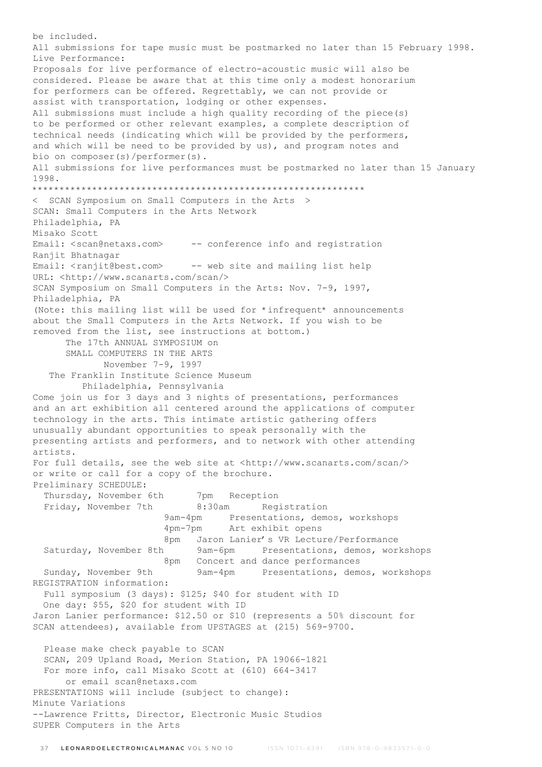be included. All submissions for tape music must be postmarked no later than 15 February 1998. Live Performance: Proposals for live performance of electro-acoustic music will also be considered. Please be aware that at this time only a modest honorarium for performers can be offered. Regrettably, we can not provide or assist with transportation, lodging or other expenses. All submissions must include a high quality recording of the piece(s) to be performed or other relevant examples, a complete description of technical needs (indicating which will be provided by the performers, and which will be need to be provided by us), and program notes and bio on composer(s)/performer(s). All submissions for live performances must be postmarked no later than 15 January 1998. \*\*\*\*\*\*\*\*\*\*\*\*\*\*\*\*\*\*\*\*\*\*\*\*\*\*\*\*\*\*\*\*\*\*\*\*\*\*\*\*\*\*\*\*\*\*\*\*\*\*\*\*\*\*\*\*\*\*\*\*\* < SCAN Symposium on Small Computers in the Arts > SCAN: Small Computers in the Arts Network Philadelphia, PA Misako Scott Email: <scan@netaxs.com> -- conference info and registration Ranjit Bhatnagar Email: <ranjit@best.com> -- web site and mailing list help URL: <http://www.scanarts.com/scan/> SCAN Symposium on Small Computers in the Arts: Nov. 7-9, 1997, Philadelphia, PA (Note: this mailing list will be used for \*infrequent\* announcements about the Small Computers in the Arts Network. If you wish to be removed from the list, see instructions at bottom.) The 17th ANNUAL SYMPOSIUM on SMALL COMPUTERS IN THE ARTS November 7-9, 1997 The Franklin Institute Science Museum Philadelphia, Pennsylvania Come join us for 3 days and 3 nights of presentations, performances and an art exhibition all centered around the applications of computer technology in the arts. This intimate artistic gathering offers unusually abundant opportunities to speak personally with the presenting artists and performers, and to network with other attending artists. For full details, see the web site at <http://www.scanarts.com/scan/> or write or call for a copy of the brochure. Preliminary SCHEDULE: Thursday, November 6th 7pm Reception Friday, November 7th 8:30am Registration 9am-4pm Presentations, demos, workshops 4pm-7pm Art exhibit opens 8pm Jaron Lanier's VR Lecture/Performance Saturday, November 8th 9am-6pm Presentations, demos, workshops 8pm Concert and dance performances Sunday, November 9th 9am-4pm Presentations, demos, workshops REGISTRATION information: Full symposium (3 days): \$125; \$40 for student with ID One day: \$55, \$20 for student with ID Jaron Lanier performance: \$12.50 or \$10 (represents a 50% discount for SCAN attendees), available from UPSTAGES at (215) 569-9700. Please make check payable to SCAN SCAN, 209 Upland Road, Merion Station, PA 19066-1821 For more info, call Misako Scott at (610) 664-3417 or email scan@netaxs.com PRESENTATIONS will include (subject to change): Minute Variations --Lawrence Fritts, Director, Electronic Music Studios SUPER Computers in the Arts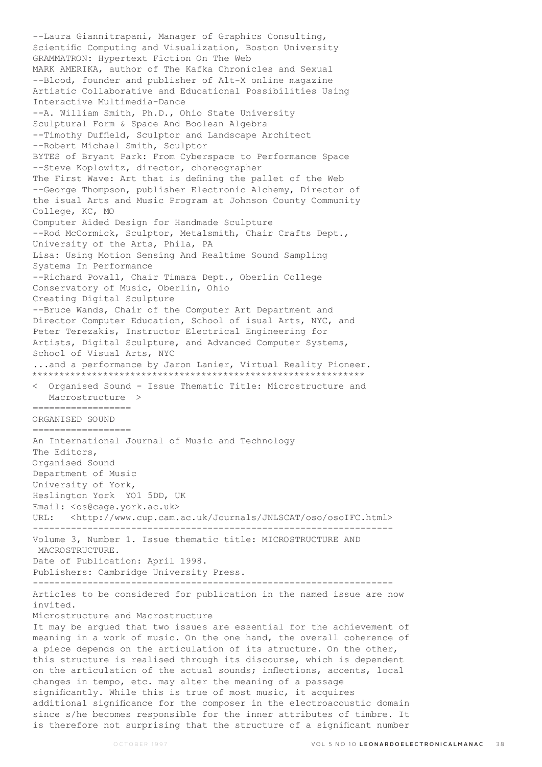--Laura Giannitrapani, Manager of Graphics Consulting, Scientific Computing and Visualization, Boston University GRAMMATRON: Hypertext Fiction On The Web MARK AMERIKA, author of The Kafka Chronicles and Sexual --Blood, founder and publisher of Alt-X online magazine Artistic Collaborative and Educational Possibilities Using Interactive Multimedia-Dance --A. William Smith, Ph.D., Ohio State University Sculptural Form & Space And Boolean Algebra --Timothy Duffield, Sculptor and Landscape Architect --Robert Michael Smith, Sculptor BYTES of Bryant Park: From Cyberspace to Performance Space --Steve Koplowitz, director, choreographer The First Wave: Art that is defining the pallet of the Web --George Thompson, publisher Electronic Alchemy, Director of the isual Arts and Music Program at Johnson County Community College, KC, MO Computer Aided Design for Handmade Sculpture --Rod McCormick, Sculptor, Metalsmith, Chair Crafts Dept., University of the Arts, Phila, PA Lisa: Using Motion Sensing And Realtime Sound Sampling Systems In Performance --Richard Povall, Chair Timara Dept., Oberlin College Conservatory of Music, Oberlin, Ohio Creating Digital Sculpture --Bruce Wands, Chair of the Computer Art Department and Director Computer Education, School of isual Arts, NYC, and Peter Terezakis, Instructor Electrical Engineering for Artists, Digital Sculpture, and Advanced Computer Systems, School of Visual Arts, NYC ...and a performance by Jaron Lanier, Virtual Reality Pioneer. \*\*\*\*\*\*\*\*\*\*\*\*\*\*\*\*\*\*\*\*\*\*\*\*\*\*\*\*\*\*\*\*\*\*\*\*\*\*\*\*\*\*\*\*\*\*\*\*\*\*\*\*\*\*\*\*\*\*\*\*\* < Organised Sound - Issue Thematic Title: Microstructure and Macrostructure > ================== ORGANISED SOUND ================== An International Journal of Music and Technology The Editors, Organised Sound Department of Music University of York, Heslington York YO1 5DD, UK Email: <os@cage.york.ac.uk> URL: <http://www.cup.cam.ac.uk/Journals/JNLSCAT/oso/osoIFC.html> ------------------------------------------------------------------ Volume 3, Number 1. Issue thematic title: MICROSTRUCTURE AND MACROSTRUCTURE. Date of Publication: April 1998. Publishers: Cambridge University Press. ------------------------------------------------------------------ Articles to be considered for publication in the named issue are now invited. Microstructure and Macrostructure It may be argued that two issues are essential for the achievement of meaning in a work of music. On the one hand, the overall coherence of a piece depends on the articulation of its structure. On the other, this structure is realised through its discourse, which is dependent on the articulation of the actual sounds; inflections, accents, local changes in tempo, etc. may alter the meaning of a passage significantly. While this is true of most music, it acquires additional significance for the composer in the electroacoustic domain since s/he becomes responsible for the inner attributes of timbre. It is therefore not surprising that the structure of a significant number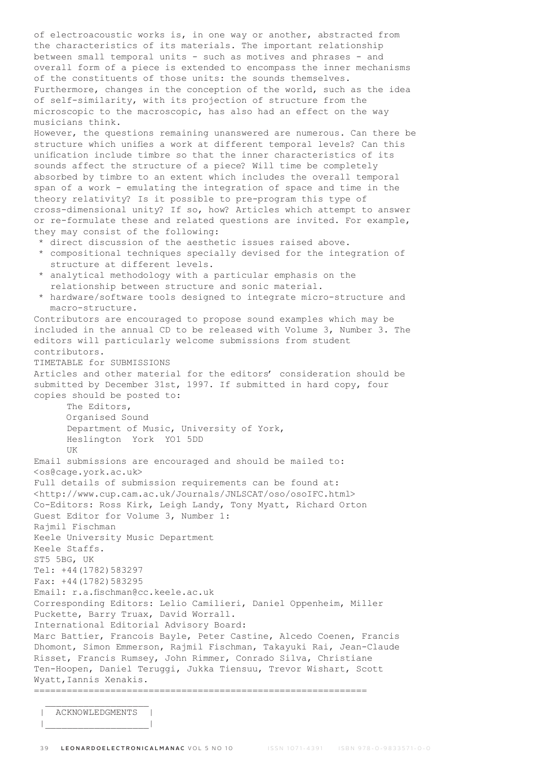of electroacoustic works is, in one way or another, abstracted from the characteristics of its materials. The important relationship between small temporal units - such as motives and phrases - and overall form of a piece is extended to encompass the inner mechanisms of the constituents of those units: the sounds themselves. Furthermore, changes in the conception of the world, such as the idea of self-similarity, with its projection of structure from the microscopic to the macroscopic, has also had an effect on the way musicians think. However, the questions remaining unanswered are numerous. Can there be structure which unifies a work at different temporal levels? Can this unification include timbre so that the inner characteristics of its sounds affect the structure of a piece? Will time be completely absorbed by timbre to an extent which includes the overall temporal span of a work - emulating the integration of space and time in the theory relativity? Is it possible to pre-program this type of cross-dimensional unity? If so, how? Articles which attempt to answer or re-formulate these and related questions are invited. For example, they may consist of the following: \* direct discussion of the aesthetic issues raised above. \* compositional techniques specially devised for the integration of structure at different levels. \* analytical methodology with a particular emphasis on the relationship between structure and sonic material. \* hardware/software tools designed to integrate micro-structure and macro-structure. Contributors are encouraged to propose sound examples which may be included in the annual CD to be released with Volume 3, Number 3. The editors will particularly welcome submissions from student contributors. TIMETABLE for SUBMISSIONS Articles and other material for the editors' consideration should be submitted by December 31st, 1997. If submitted in hard copy, four copies should be posted to: The Editors, Organised Sound Department of Music, University of York, Heslington York YO1 5DD UK Email submissions are encouraged and should be mailed to: <os@cage.york.ac.uk> Full details of submission requirements can be found at: <http://www.cup.cam.ac.uk/Journals/JNLSCAT/oso/osoIFC.html> Co-Editors: Ross Kirk, Leigh Landy, Tony Myatt, Richard Orton Guest Editor for Volume 3, Number 1: Rajmil Fischman Keele University Music Department Keele Staffs. ST5 5BG, UK Tel: +44(1782)583297 Fax: +44(1782)583295 Email: r.a.fischman@cc.keele.ac.uk Corresponding Editors: Lelio Camilieri, Daniel Oppenheim, Miller Puckette, Barry Truax, David Worrall. International Editorial Advisory Board: Marc Battier, Francois Bayle, Peter Castine, Alcedo Coenen, Francis Dhomont, Simon Emmerson, Rajmil Fischman, Takayuki Rai, Jean-Claude Risset, Francis Rumsey, John Rimmer, Conrado Silva, Christiane Ten-Hoopen, Daniel Teruggi, Jukka Tiensuu, Trevor Wishart, Scott

Wyatt,Iannis Xenakis. =============================================================

 $\mathcal{L}_\text{max}$ ACKNOWLEDGMENTS | |\_\_\_\_\_\_\_\_\_\_\_\_\_\_\_\_\_\_\_|